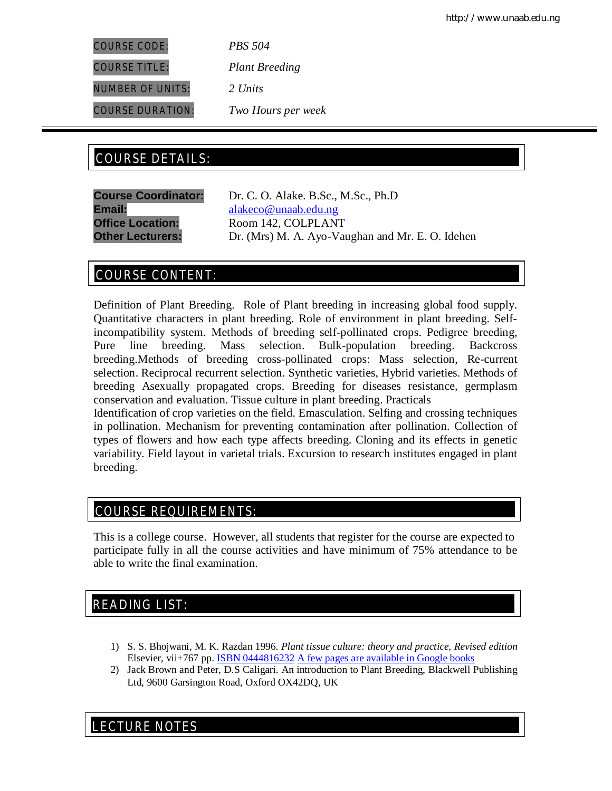COURSE CODE: *PBS 504* COURSE TITLE: *Plant Breeding* NUMBER OF UNITS: *2 Units* COURSE DURATION: *Two Hours per week*

# COURSE DETAILS: COURSE DETAILS:

**Course Coordinator:** Dr. C. O. Alake. B.Sc., M.Sc., Ph.D **Email:** alakeco@unaab.edu.ng **Office Location:** Room 142, COLPLANT **Other Lecturers:** Dr. (Mrs) M. A. Ayo-Vaughan and Mr. E. O. Idehen

# COURSE CONTENT:

Definition of Plant Breeding. Role of Plant breeding in increasing global food supply. Quantitative characters in plant breeding. Role of environment in plant breeding. Selfincompatibility system. Methods of breeding self-pollinated crops. Pedigree breeding, Pure line breeding. Mass selection. Bulk-population breeding. Backcross breeding.Methods of breeding cross-pollinated crops: Mass selection, Re-current selection. Reciprocal recurrent selection. Synthetic varieties, Hybrid varieties. Methods of breeding Asexually propagated crops. Breeding for diseases resistance, germplasm conservation and evaluation. Tissue culture in plant breeding. Practicals

Identification of crop varieties on the field. Emasculation. Selfing and crossing techniques in pollination. Mechanism for preventing contamination after pollination. Collection of types of flowers and how each type affects breeding. Cloning and its effects in genetic variability. Field layout in varietal trials. Excursion to research institutes engaged in plant breeding.

# COURSE REQUIREMENTS:

This is a college course. However, all students that register for the course are expected to participate fully in all the course activities and have minimum of 75% attendance to be able to write the final examination.

# READING LIST:

- 1) S. S. Bhojwani, M. K. Razdan 1996. *Plant tissue culture: theory and practice, Revised edition* Elsevier, vii+767 pp. ISBN 0444816232 A few pages are available in Google books
- 2) Jack Brown and Peter, D.S Caligari. An introduction to Plant Breeding, Blackwell Publishing Ltd, 9600 Garsington Road, Oxford OX42DQ, UK

# E LECTURE NOTES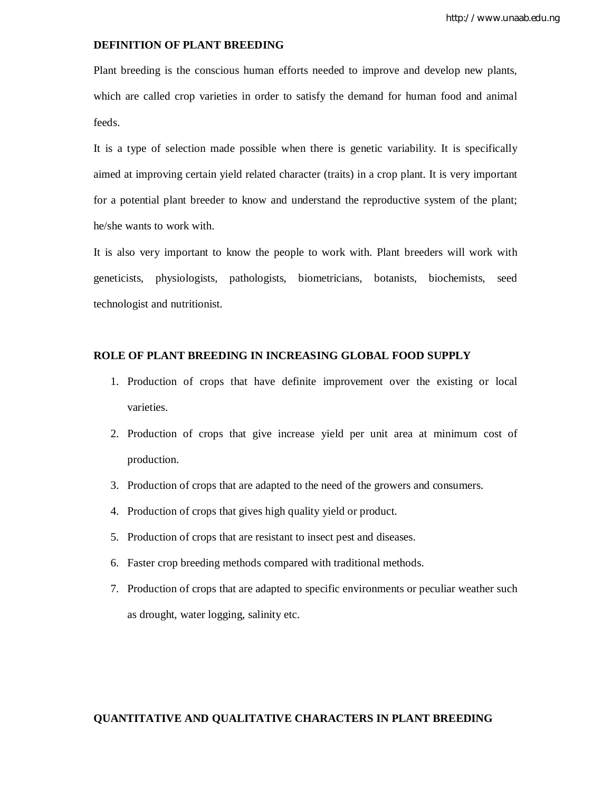# **DEFINITION OF PLANT BREEDING**

Plant breeding is the conscious human efforts needed to improve and develop new plants, which are called crop varieties in order to satisfy the demand for human food and animal feeds.

It is a type of selection made possible when there is genetic variability. It is specifically aimed at improving certain yield related character (traits) in a crop plant. It is very important for a potential plant breeder to know and understand the reproductive system of the plant; he/she wants to work with.

It is also very important to know the people to work with. Plant breeders will work with geneticists, physiologists, pathologists, biometricians, botanists, biochemists, seed technologist and nutritionist.

#### **ROLE OF PLANT BREEDING IN INCREASING GLOBAL FOOD SUPPLY**

- 1. Production of crops that have definite improvement over the existing or local varieties.
- 2. Production of crops that give increase yield per unit area at minimum cost of production.
- 3. Production of crops that are adapted to the need of the growers and consumers.
- 4. Production of crops that gives high quality yield or product.
- 5. Production of crops that are resistant to insect pest and diseases.
- 6. Faster crop breeding methods compared with traditional methods.
- 7. Production of crops that are adapted to specific environments or peculiar weather such as drought, water logging, salinity etc.

### **QUANTITATIVE AND QUALITATIVE CHARACTERS IN PLANT BREEDING**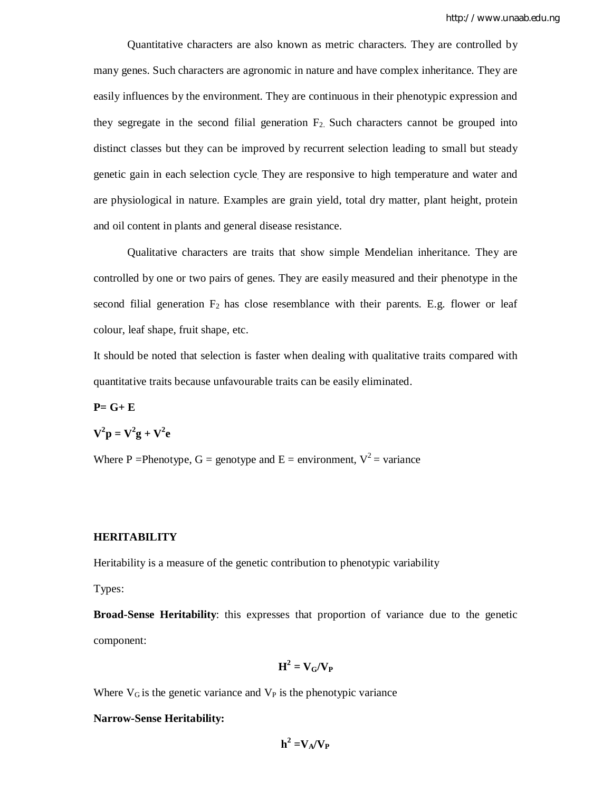Quantitative characters are also known as metric characters. They are controlled by many genes. Such characters are agronomic in nature and have complex inheritance. They are easily influences by the environment. They are continuous in their phenotypic expression and they segregate in the second filial generation  $F_2$ . Such characters cannot be grouped into distinct classes but they can be improved by recurrent selection leading to small but steady genetic gain in each selection cycle. They are responsive to high temperature and water and are physiological in nature. Examples are grain yield, total dry matter, plant height, protein and oil content in plants and general disease resistance.

Qualitative characters are traits that show simple Mendelian inheritance. They are controlled by one or two pairs of genes. They are easily measured and their phenotype in the second filial generation  $F_2$  has close resemblance with their parents. E.g. flower or leaf colour, leaf shape, fruit shape, etc.

It should be noted that selection is faster when dealing with qualitative traits compared with quantitative traits because unfavourable traits can be easily eliminated.

**P= G+ E**

 $V^2 p = V^2 g + V^2 e$ 

Where P =Phenotype, G = genotype and E = environment,  $V^2$  = variance

# **HERITABILITY**

Heritability is a measure of the genetic contribution to phenotypic variability

Types:

**Broad-Sense Heritability**: this expresses that proportion of variance due to the genetic component:

$$
H^2 = V_G/V_P
$$

Where  $V_G$  is the genetic variance and  $V_P$  is the phenotypic variance

### **Narrow-Sense Heritability:**

 $h^2 = V_A/V_P$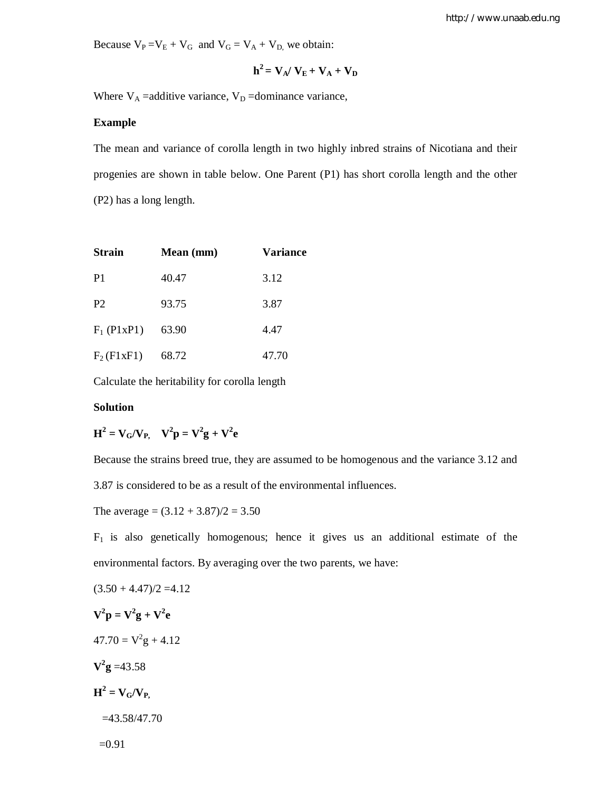Because  $V_P = V_E + V_G$  and  $V_G = V_A + V_D$ , we obtain:

$$
h^2 = V_A / V_E + V_A + V_D
$$

Where  $V_A$  =additive variance,  $V_D$  =dominance variance,

# **Example**

The mean and variance of corolla length in two highly inbred strains of Nicotiana and their progenies are shown in table below. One Parent (P1) has short corolla length and the other (P2) has a long length.

| <b>Strain</b>  | Mean (mm) | <b>Variance</b> |
|----------------|-----------|-----------------|
| P <sub>1</sub> | 40.47     | 3.12            |
| P <sub>2</sub> | 93.75     | 3.87            |
| $F_1$ (P1xP1)  | 63.90     | 4.47            |
| $F_2$ (F1xF1)  | 68.72     | 47.70           |

Calculate the heritability for corolla length

# **Solution**

$$
H^2 = V_G/V_P, \quad V^2p = V^2g + V^2e
$$

Because the strains breed true, they are assumed to be homogenous and the variance 3.12 and

3.87 is considered to be as a result of the environmental influences.

The average =  $(3.12 + 3.87)/2 = 3.50$ 

 $F_1$  is also genetically homogenous; hence it gives us an additional estimate of the environmental factors. By averaging over the two parents, we have:

$$
(3.50 + 4.47)/2 = 4.12
$$
  

$$
\mathbf{V}^2 \mathbf{p} = \mathbf{V}^2 \mathbf{g} + \mathbf{V}^2 \mathbf{e}
$$
  

$$
47.70 = \mathbf{V}^2 \mathbf{g} + 4.12
$$
  

$$
\mathbf{V}^2 \mathbf{g} = 43.58
$$
  

$$
\mathbf{H}^2 = \mathbf{V}_G/\mathbf{V}_P,
$$
  

$$
= 43.58/47.70
$$
  

$$
= 0.91
$$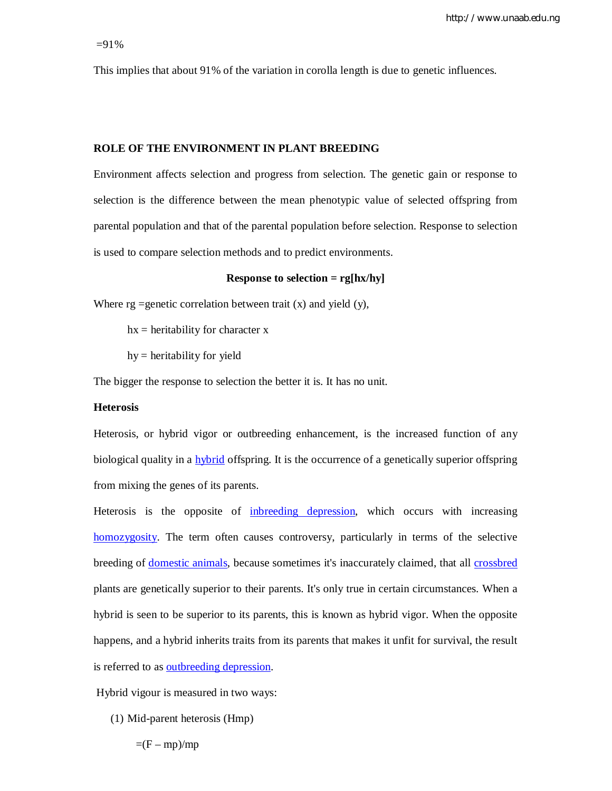This implies that about 91% of the variation in corolla length is due to genetic influences.

# **ROLE OF THE ENVIRONMENT IN PLANT BREEDING**

Environment affects selection and progress from selection. The genetic gain or response to selection is the difference between the mean phenotypic value of selected offspring from parental population and that of the parental population before selection. Response to selection is used to compare selection methods and to predict environments.

#### **Response to selection = rg[hx/hy]**

Where  $rg = genetic correlation between trait (x) and yield (y),$ 

 $hx = heritability for character x$ 

 $hy = heritability$  for yield

The bigger the response to selection the better it is. It has no unit.

### **Heterosis**

Heterosis, or hybrid vigor or outbreeding enhancement, is the increased function of any biological quality in a hybrid offspring. It is the occurrence of a genetically superior offspring from mixing the genes of its parents.

Heterosis is the opposite of inbreeding depression, which occurs with increasing homozygosity. The term often causes controversy, particularly in terms of the selective breeding of domestic animals, because sometimes it's inaccurately claimed, that all crossbred plants are genetically superior to their parents. It's only true in certain circumstances. When a hybrid is seen to be superior to its parents, this is known as hybrid vigor. When the opposite happens, and a hybrid inherits traits from its parents that makes it unfit for survival, the result is referred to as <u>outbreeding depression</u>.

Hybrid vigour is measured in two ways:

(1) Mid-parent heterosis (Hmp)

 $=(F - mp)/mp$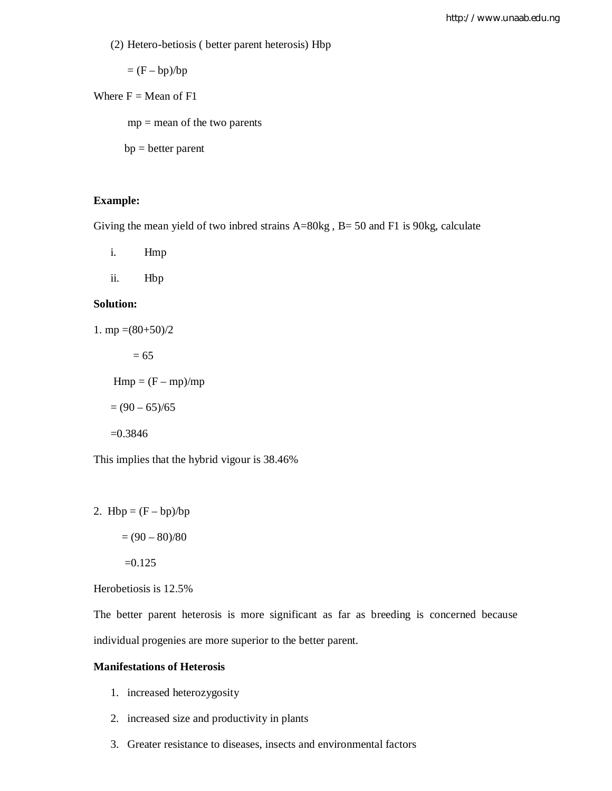(2) Hetero-betiosis ( better parent heterosis) Hbp

 $= (F - bp)/bp$ 

Where  $F = Mean of F1$ 

 $mp = mean of the two parents$ 

bp = better parent

# **Example:**

Giving the mean yield of two inbred strains  $A=80kg$ ,  $B=50$  and F1 is 90kg, calculate

i. Hmp

ii. Hbp

# **Solution:**

1. mp  $=(80+50)/2$  $= 65$  $Hmp = (F - mp)/mp$  $= (90 - 65)/65$ =0.3846

This implies that the hybrid vigour is 38.46%

2. Hbp =  $(F - bp)/bp$ 

 $=(90-80)/80$ 

 $=0.125$ 

Herobetiosis is 12.5%

The better parent heterosis is more significant as far as breeding is concerned because individual progenies are more superior to the better parent.

# **Manifestations of Heterosis**

- 1. increased heterozygosity
- 2. increased size and productivity in plants
- 3. Greater resistance to diseases, insects and environmental factors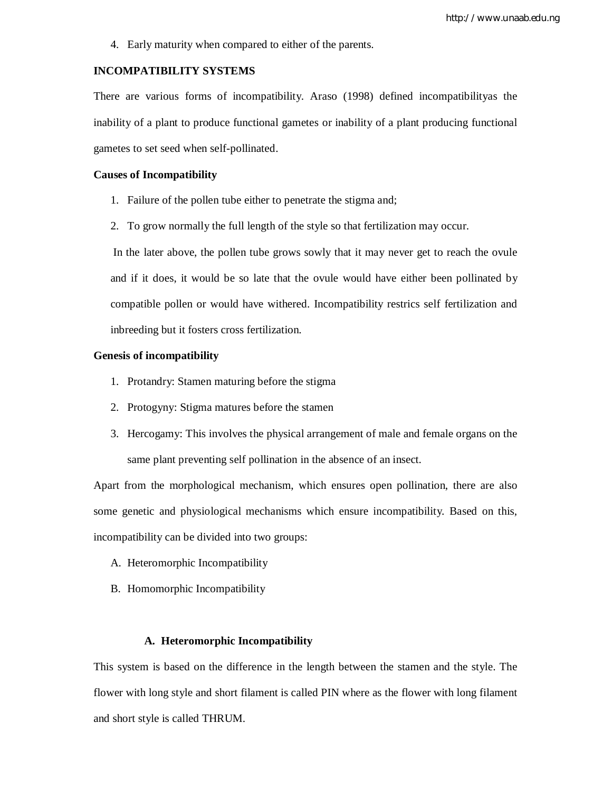4. Early maturity when compared to either of the parents.

# **INCOMPATIBILITY SYSTEMS**

There are various forms of incompatibility. Araso (1998) defined incompatibilityas the inability of a plant to produce functional gametes or inability of a plant producing functional gametes to set seed when self-pollinated.

### **Causes of Incompatibility**

- 1. Failure of the pollen tube either to penetrate the stigma and;
- 2. To grow normally the full length of the style so that fertilization may occur.

In the later above, the pollen tube grows sowly that it may never get to reach the ovule and if it does, it would be so late that the ovule would have either been pollinated by compatible pollen or would have withered. Incompatibility restrics self fertilization and inbreeding but it fosters cross fertilization.

#### **Genesis of incompatibility**

- 1. Protandry: Stamen maturing before the stigma
- 2. Protogyny: Stigma matures before the stamen
- 3. Hercogamy: This involves the physical arrangement of male and female organs on the same plant preventing self pollination in the absence of an insect.

Apart from the morphological mechanism, which ensures open pollination, there are also some genetic and physiological mechanisms which ensure incompatibility. Based on this, incompatibility can be divided into two groups:

- A. Heteromorphic Incompatibility
- B. Homomorphic Incompatibility

#### **A. Heteromorphic Incompatibility**

This system is based on the difference in the length between the stamen and the style. The flower with long style and short filament is called PIN where as the flower with long filament and short style is called THRUM.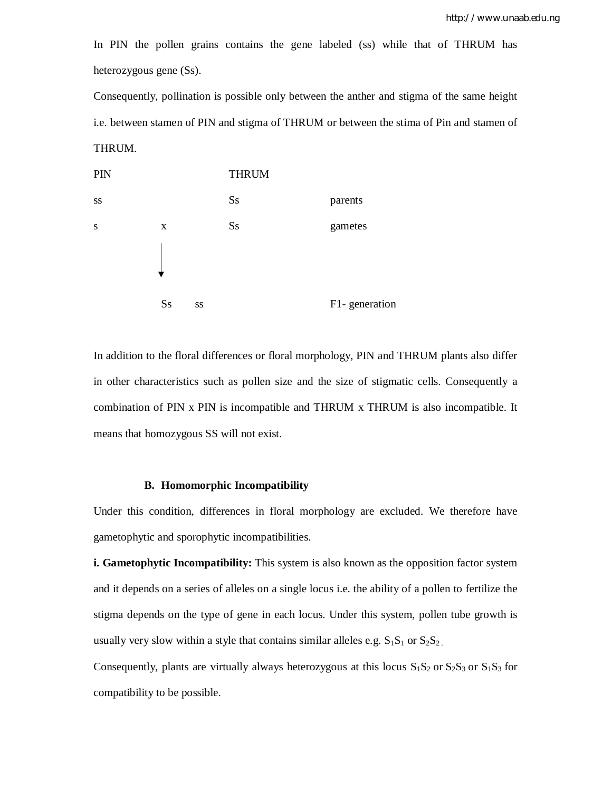In PIN the pollen grains contains the gene labeled (ss) while that of THRUM has heterozygous gene (Ss).

Consequently, pollination is possible only between the anther and stigma of the same height i.e. between stamen of PIN and stigma of THRUM or between the stima of Pin and stamen of THRUM.



In addition to the floral differences or floral morphology, PIN and THRUM plants also differ in other characteristics such as pollen size and the size of stigmatic cells. Consequently a combination of PIN x PIN is incompatible and THRUM x THRUM is also incompatible. It means that homozygous SS will not exist.

### **B. Homomorphic Incompatibility**

Under this condition, differences in floral morphology are excluded. We therefore have gametophytic and sporophytic incompatibilities.

**i. Gametophytic Incompatibility:** This system is also known as the opposition factor system and it depends on a series of alleles on a single locus i.e. the ability of a pollen to fertilize the stigma depends on the type of gene in each locus. Under this system, pollen tube growth is usually very slow within a style that contains similar alleles e.g.  $S_1S_1$  or  $S_2S_2$ .

Consequently, plants are virtually always heterozygous at this locus  $S_1S_2$  or  $S_2S_3$  or  $S_1S_3$  for compatibility to be possible.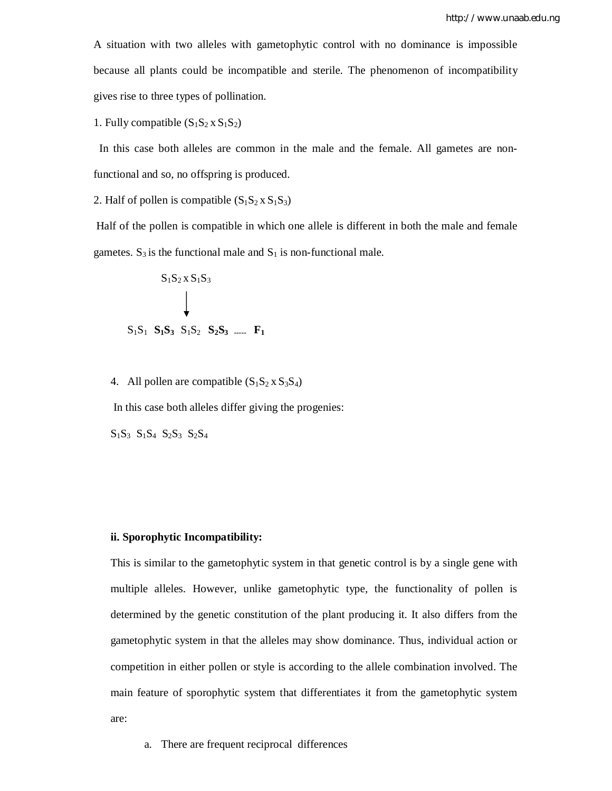A situation with two alleles with gametophytic control with no dominance is impossible because all plants could be incompatible and sterile. The phenomenon of incompatibility gives rise to three types of pollination.

1. Fully compatible  $(S_1S_2 \times S_1S_2)$ 

 In this case both alleles are common in the male and the female. All gametes are nonfunctional and so, no offspring is produced.

2. Half of pollen is compatible  $(S_1S_2 \times S_1S_3)$ 

Half of the pollen is compatible in which one allele is different in both the male and female gametes.  $S_3$  is the functional male and  $S_1$  is non-functional male.

$$
S_1S_2 \times S_1S_3
$$
\n
$$
\downarrow
$$
\n
$$
S_1S_1 S_1 S_3 S_1 S_2 S_2 S_3 \dots F_1
$$

4. All pollen are compatible  $(S_1S_2 \times S_3S_4)$ 

In this case both alleles differ giving the progenies:

 $S_1S_3 S_1S_4 S_2S_3 S_2S_4$ 

#### **ii. Sporophytic Incompatibility:**

This is similar to the gametophytic system in that genetic control is by a single gene with multiple alleles. However, unlike gametophytic type, the functionality of pollen is determined by the genetic constitution of the plant producing it. It also differs from the gametophytic system in that the alleles may show dominance. Thus, individual action or competition in either pollen or style is according to the allele combination involved. The main feature of sporophytic system that differentiates it from the gametophytic system are:

a. There are frequent reciprocal differences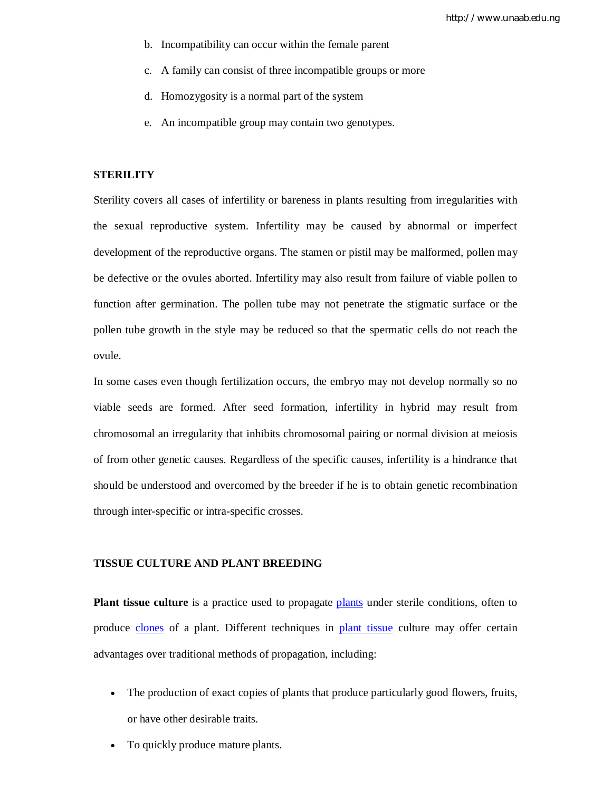- b. Incompatibility can occur within the female parent
- c. A family can consist of three incompatible groups or more
- d. Homozygosity is a normal part of the system
- e. An incompatible group may contain two genotypes.

### **STERILITY**

Sterility covers all cases of infertility or bareness in plants resulting from irregularities with the sexual reproductive system. Infertility may be caused by abnormal or imperfect development of the reproductive organs. The stamen or pistil may be malformed, pollen may be defective or the ovules aborted. Infertility may also result from failure of viable pollen to function after germination. The pollen tube may not penetrate the stigmatic surface or the pollen tube growth in the style may be reduced so that the spermatic cells do not reach the ovule.

In some cases even though fertilization occurs, the embryo may not develop normally so no viable seeds are formed. After seed formation, infertility in hybrid may result from chromosomal an irregularity that inhibits chromosomal pairing or normal division at meiosis of from other genetic causes. Regardless of the specific causes, infertility is a hindrance that should be understood and overcomed by the breeder if he is to obtain genetic recombination through inter-specific or intra-specific crosses.

#### **TISSUE CULTURE AND PLANT BREEDING**

**Plant tissue culture** is a practice used to propagate plants under sterile conditions, often to produce clones of a plant. Different techniques in plant tissue culture may offer certain advantages over traditional methods of propagation, including:

- The production of exact copies of plants that produce particularly good flowers, fruits, or have other desirable traits.
- To quickly produce mature plants.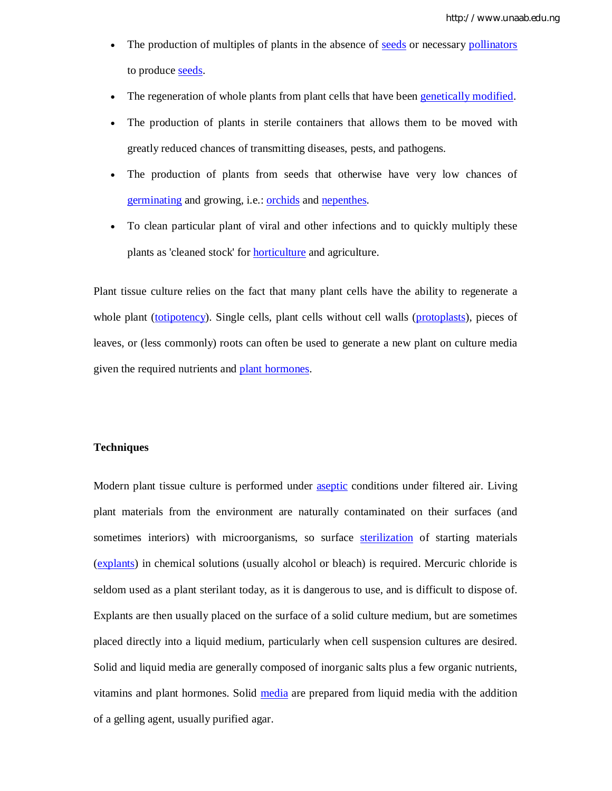- The production of multiples of plants in the absence of seeds or necessary pollinators to produce seeds.
- The regeneration of whole plants from plant cells that have been genetically modified.
- The production of plants in sterile containers that allows them to be moved with greatly reduced chances of transmitting diseases, pests, and pathogens.
- The production of plants from seeds that otherwise have very low chances of germinating and growing, i.e.: orchids and nepenthes.
- To clean particular plant of viral and other infections and to quickly multiply these plants as 'cleaned stock' for horticulture and agriculture.

Plant tissue culture relies on the fact that many plant cells have the ability to regenerate a whole plant (totipotency). Single cells, plant cells without cell walls (protoplasts), pieces of leaves, or (less commonly) roots can often be used to generate a new plant on culture media given the required nutrients and plant hormones.

### **Techniques**

Modern plant tissue culture is performed under aseptic conditions under filtered air. Living plant materials from the environment are naturally contaminated on their surfaces (and sometimes interiors) with microorganisms, so surface sterilization of starting materials (explants) in chemical solutions (usually alcohol or bleach) is required. Mercuric chloride is seldom used as a plant sterilant today, as it is dangerous to use, and is difficult to dispose of. Explants are then usually placed on the surface of a solid culture medium, but are sometimes placed directly into a liquid medium, particularly when cell suspension cultures are desired. Solid and liquid media are generally composed of inorganic salts plus a few organic nutrients, vitamins and plant hormones. Solid media are prepared from liquid media with the addition of a gelling agent, usually purified agar.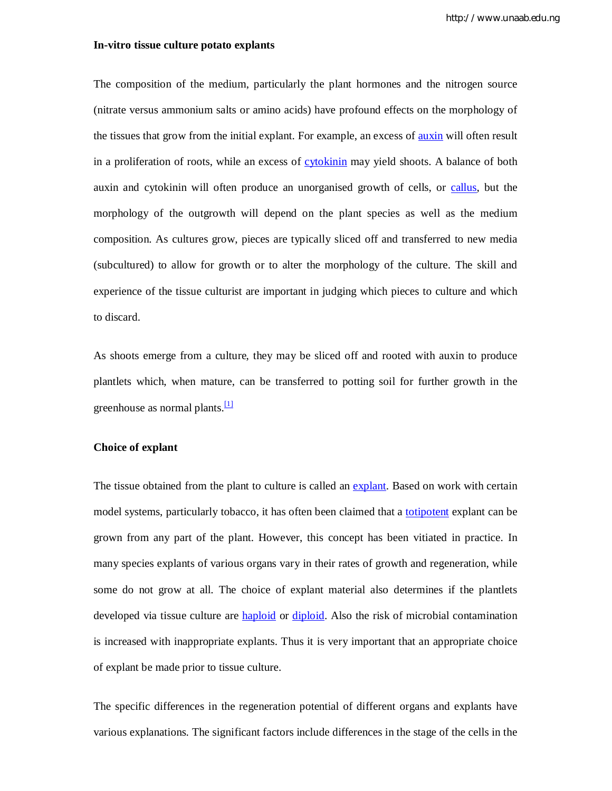#### **In-vitro tissue culture potato explants**

The composition of the medium, particularly the plant hormones and the nitrogen source (nitrate versus ammonium salts or amino acids) have profound effects on the morphology of the tissues that grow from the initial explant. For example, an excess of auxin will often result in a proliferation of roots, while an excess of cytokinin may yield shoots. A balance of both auxin and cytokinin will often produce an unorganised growth of cells, or callus, but the morphology of the outgrowth will depend on the plant species as well as the medium composition. As cultures grow, pieces are typically sliced off and transferred to new media (subcultured) to allow for growth or to alter the morphology of the culture. The skill and experience of the tissue culturist are important in judging which pieces to culture and which to discard.

As shoots emerge from a culture, they may be sliced off and rooted with auxin to produce plantlets which, when mature, can be transferred to potting soil for further growth in the greenhouse as normal plants.<sup>[1]</sup>

### **Choice of explant**

The tissue obtained from the plant to culture is called an explant. Based on work with certain model systems, particularly tobacco, it has often been claimed that a totipotent explant can be grown from any part of the plant. However, this concept has been vitiated in practice. In many species explants of various organs vary in their rates of growth and regeneration, while some do not grow at all. The choice of explant material also determines if the plantlets developed via tissue culture are haploid or diploid. Also the risk of microbial contamination is increased with inappropriate explants. Thus it is very important that an appropriate choice of explant be made prior to tissue culture.

The specific differences in the regeneration potential of different organs and explants have various explanations. The significant factors include differences in the stage of the cells in the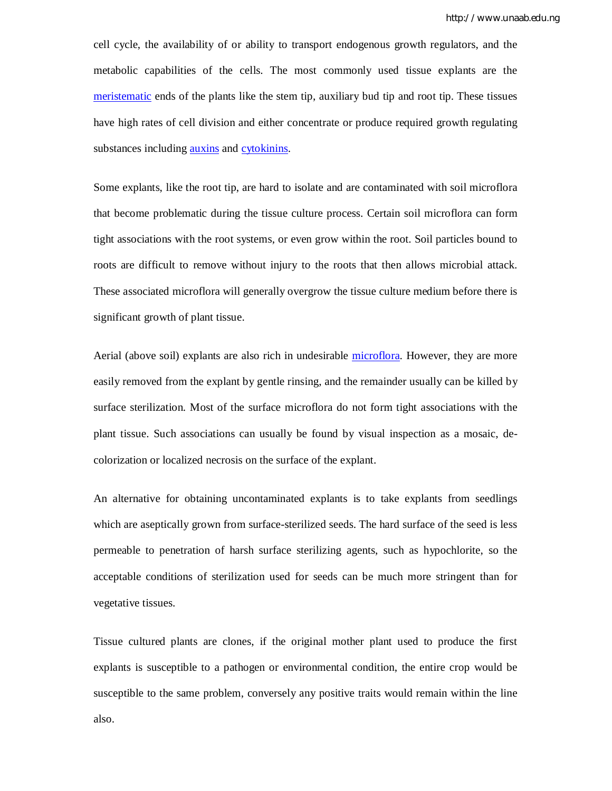cell cycle, the availability of or ability to transport endogenous growth regulators, and the metabolic capabilities of the cells. The most commonly used tissue explants are the meristematic ends of the plants like the stem tip, auxiliary bud tip and root tip. These tissues have high rates of cell division and either concentrate or produce required growth regulating substances including **auxins** and cytokinins.

Some explants, like the root tip, are hard to isolate and are contaminated with soil microflora that become problematic during the tissue culture process. Certain soil microflora can form tight associations with the root systems, or even grow within the root. Soil particles bound to roots are difficult to remove without injury to the roots that then allows microbial attack. These associated microflora will generally overgrow the tissue culture medium before there is significant growth of plant tissue.

Aerial (above soil) explants are also rich in undesirable microflora. However, they are more easily removed from the explant by gentle rinsing, and the remainder usually can be killed by surface sterilization. Most of the surface microflora do not form tight associations with the plant tissue. Such associations can usually be found by visual inspection as a mosaic, decolorization or localized necrosis on the surface of the explant.

An alternative for obtaining uncontaminated explants is to take explants from seedlings which are aseptically grown from surface-sterilized seeds. The hard surface of the seed is less permeable to penetration of harsh surface sterilizing agents, such as hypochlorite, so the acceptable conditions of sterilization used for seeds can be much more stringent than for vegetative tissues.

Tissue cultured plants are clones, if the original mother plant used to produce the first explants is susceptible to a pathogen or environmental condition, the entire crop would be susceptible to the same problem, conversely any positive traits would remain within the line also.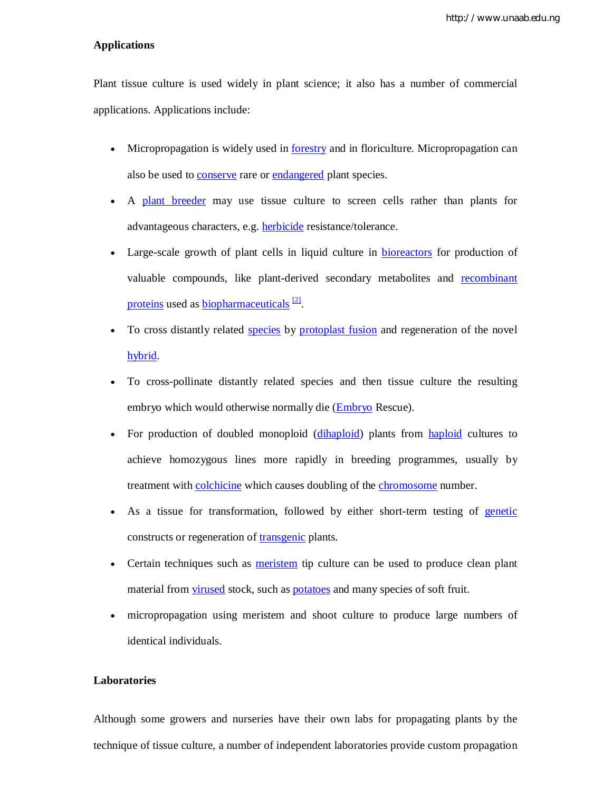http://www.unaab.edu.ng

# **Applications**

Plant tissue culture is used widely in plant science; it also has a number of commercial applications. Applications include:

- Micropropagation is widely used in **forestry** and in floriculture. Micropropagation can also be used to **conserve** rare or **endangered** plant species.
- A plant breeder may use tissue culture to screen cells rather than plants for advantageous characters, e.g. herbicide resistance/tolerance.
- Large-scale growth of plant cells in liquid culture in bioreactors for production of valuable compounds, like plant-derived secondary metabolites and recombinant proteins used as **biopharmaceuticals** <sup>[2]</sup>.
- To cross distantly related species by protoplast fusion and regeneration of the novel hybrid.
- To cross-pollinate distantly related species and then tissue culture the resulting embryo which would otherwise normally die (Embryo Rescue).
- For production of doubled monoploid (dihaploid) plants from haploid cultures to achieve homozygous lines more rapidly in breeding programmes, usually by treatment with **colchicine** which causes doubling of the **chromosome** number.
- As a tissue for transformation, followed by either short-term testing of genetic constructs or regeneration of transgenic plants.
- Certain techniques such as meristem tip culture can be used to produce clean plant material from virused stock, such as potatoes and many species of soft fruit.
- micropropagation using meristem and shoot culture to produce large numbers of identical individuals.

# **Laboratories**

Although some growers and nurseries have their own labs for propagating plants by the technique of tissue culture, a number of independent laboratories provide custom propagation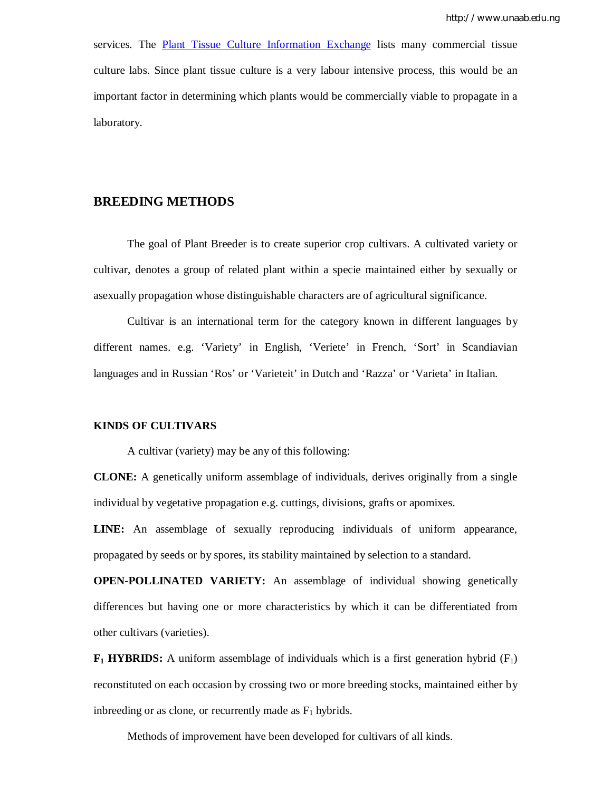services. The Plant Tissue Culture Information Exchange lists many commercial tissue culture labs. Since plant tissue culture is a very labour intensive process, this would be an important factor in determining which plants would be commercially viable to propagate in a laboratory.

# **BREEDING METHODS**

The goal of Plant Breeder is to create superior crop cultivars. A cultivated variety or cultivar, denotes a group of related plant within a specie maintained either by sexually or asexually propagation whose distinguishable characters are of agricultural significance.

Cultivar is an international term for the category known in different languages by different names. e.g. 'Variety' in English, 'Veriete' in French, 'Sort' in Scandiavian languages and in Russian 'Ros' or 'Varieteit' in Dutch and 'Razza' or 'Varieta' in Italian.

### **KINDS OF CULTIVARS**

A cultivar (variety) may be any of this following:

**CLONE:** A genetically uniform assemblage of individuals, derives originally from a single individual by vegetative propagation e.g. cuttings, divisions, grafts or apomixes.

**LINE:** An assemblage of sexually reproducing individuals of uniform appearance, propagated by seeds or by spores, its stability maintained by selection to a standard.

**OPEN-POLLINATED VARIETY:** An assemblage of individual showing genetically differences but having one or more characteristics by which it can be differentiated from other cultivars (varieties).

 $\mathbf{F}_1$  **HYBRIDS:** A uniform assemblage of individuals which is a first generation hybrid ( $\mathbf{F}_1$ ) reconstituted on each occasion by crossing two or more breeding stocks, maintained either by inbreeding or as clone, or recurrently made as  $F_1$  hybrids.

Methods of improvement have been developed for cultivars of all kinds.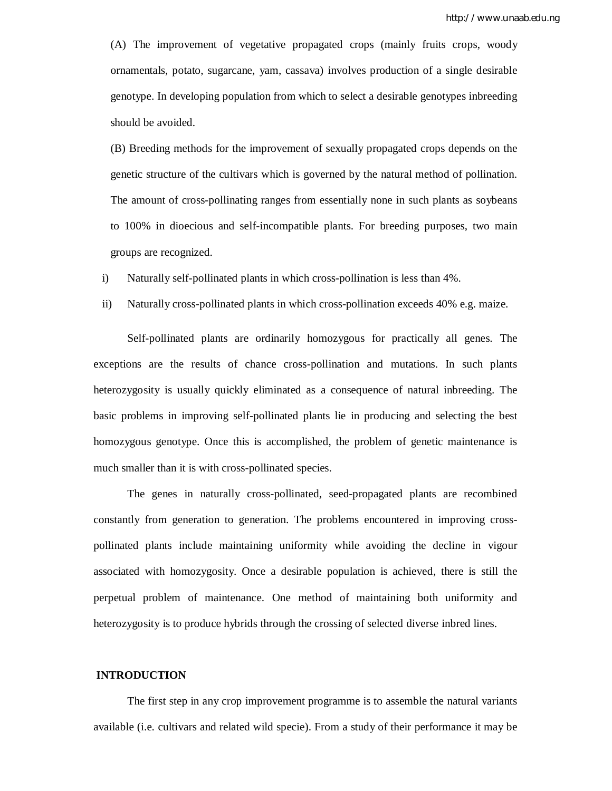(A) The improvement of vegetative propagated crops (mainly fruits crops, woody ornamentals, potato, sugarcane, yam, cassava) involves production of a single desirable genotype. In developing population from which to select a desirable genotypes inbreeding should be avoided.

(B) Breeding methods for the improvement of sexually propagated crops depends on the genetic structure of the cultivars which is governed by the natural method of pollination. The amount of cross-pollinating ranges from essentially none in such plants as soybeans to 100% in dioecious and self-incompatible plants. For breeding purposes, two main groups are recognized.

i) Naturally self-pollinated plants in which cross-pollination is less than 4%.

ii) Naturally cross-pollinated plants in which cross-pollination exceeds 40% e.g. maize.

Self-pollinated plants are ordinarily homozygous for practically all genes. The exceptions are the results of chance cross-pollination and mutations. In such plants heterozygosity is usually quickly eliminated as a consequence of natural inbreeding. The basic problems in improving self-pollinated plants lie in producing and selecting the best homozygous genotype. Once this is accomplished, the problem of genetic maintenance is much smaller than it is with cross-pollinated species.

The genes in naturally cross-pollinated, seed-propagated plants are recombined constantly from generation to generation. The problems encountered in improving crosspollinated plants include maintaining uniformity while avoiding the decline in vigour associated with homozygosity. Once a desirable population is achieved, there is still the perpetual problem of maintenance. One method of maintaining both uniformity and heterozygosity is to produce hybrids through the crossing of selected diverse inbred lines.

# **INTRODUCTION**

The first step in any crop improvement programme is to assemble the natural variants available (i.e. cultivars and related wild specie). From a study of their performance it may be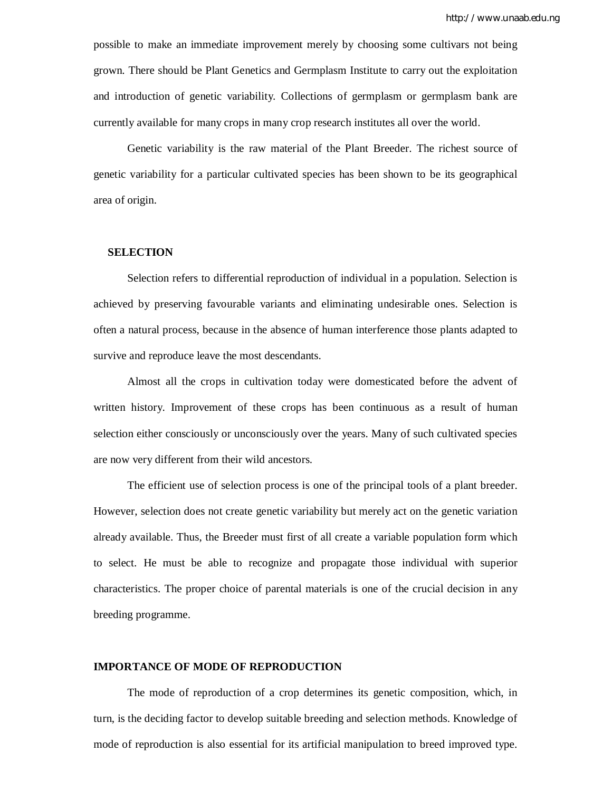possible to make an immediate improvement merely by choosing some cultivars not being grown. There should be Plant Genetics and Germplasm Institute to carry out the exploitation and introduction of genetic variability. Collections of germplasm or germplasm bank are currently available for many crops in many crop research institutes all over the world.

Genetic variability is the raw material of the Plant Breeder. The richest source of genetic variability for a particular cultivated species has been shown to be its geographical area of origin.

### **SELECTION**

Selection refers to differential reproduction of individual in a population. Selection is achieved by preserving favourable variants and eliminating undesirable ones. Selection is often a natural process, because in the absence of human interference those plants adapted to survive and reproduce leave the most descendants.

Almost all the crops in cultivation today were domesticated before the advent of written history. Improvement of these crops has been continuous as a result of human selection either consciously or unconsciously over the years. Many of such cultivated species are now very different from their wild ancestors.

The efficient use of selection process is one of the principal tools of a plant breeder. However, selection does not create genetic variability but merely act on the genetic variation already available. Thus, the Breeder must first of all create a variable population form which to select. He must be able to recognize and propagate those individual with superior characteristics. The proper choice of parental materials is one of the crucial decision in any breeding programme.

#### **IMPORTANCE OF MODE OF REPRODUCTION**

The mode of reproduction of a crop determines its genetic composition, which, in turn, is the deciding factor to develop suitable breeding and selection methods. Knowledge of mode of reproduction is also essential for its artificial manipulation to breed improved type.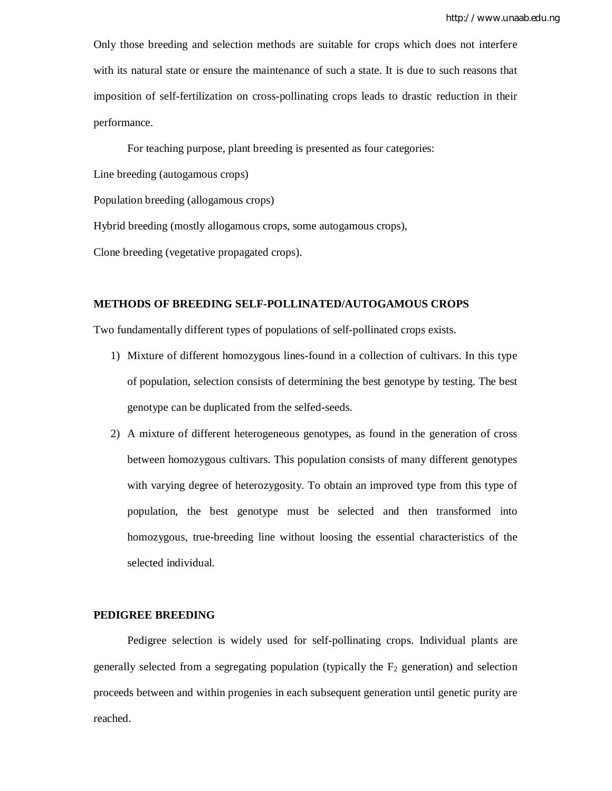Only those breeding and selection methods are suitable for crops which does not interfere with its natural state or ensure the maintenance of such a state. It is due to such reasons that imposition of self-fertilization on cross-pollinating crops leads to drastic reduction in their performance.

For teaching purpose, plant breeding is presented as four categories:

Line breeding (autogamous crops)

Population breeding (allogamous crops)

Hybrid breeding (mostly allogamous crops, some autogamous crops),

Clone breeding (vegetative propagated crops).

## **METHODS OF BREEDING SELF-POLLINATED/AUTOGAMOUS CROPS**

Two fundamentally different types of populations of self-pollinated crops exists.

- 1) Mixture of different homozygous lines-found in a collection of cultivars. In this type of population, selection consists of determining the best genotype by testing. The best genotype can be duplicated from the selfed-seeds.
- 2) A mixture of different heterogeneous genotypes, as found in the generation of cross between homozygous cultivars. This population consists of many different genotypes with varying degree of heterozygosity. To obtain an improved type from this type of population, the best genotype must be selected and then transformed into homozygous, true-breeding line without loosing the essential characteristics of the selected individual.

# **PEDIGREE BREEDING**

Pedigree selection is widely used for self-pollinating crops. Individual plants are generally selected from a segregating population (typically the  $F_2$  generation) and selection proceeds between and within progenies in each subsequent generation until genetic purity are reached.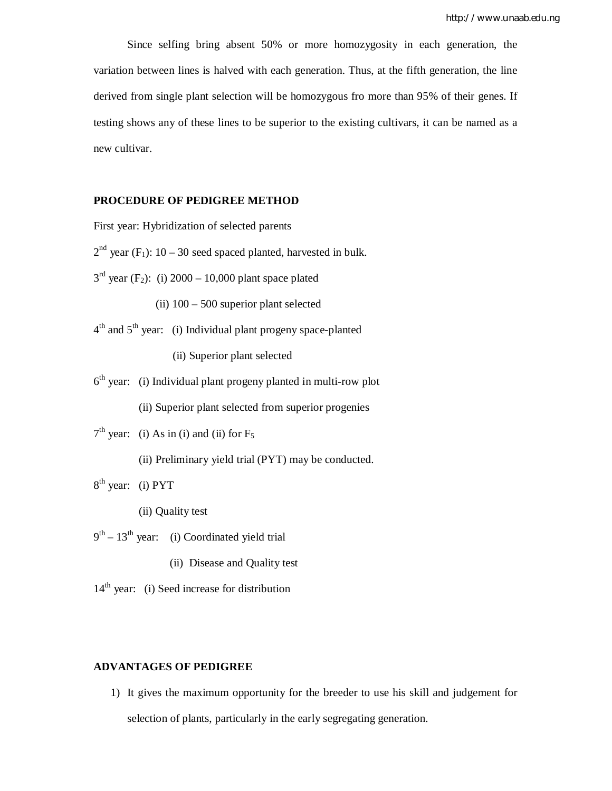Since selfing bring absent 50% or more homozygosity in each generation, the variation between lines is halved with each generation. Thus, at the fifth generation, the line derived from single plant selection will be homozygous fro more than 95% of their genes. If testing shows any of these lines to be superior to the existing cultivars, it can be named as a new cultivar.

#### **PROCEDURE OF PEDIGREE METHOD**

First year: Hybridization of selected parents

- $2<sup>nd</sup>$  year (F<sub>1</sub>): 10 30 seed spaced planted, harvested in bulk.
- $3<sup>rd</sup>$  year (F<sub>2</sub>): (i) 2000 10,000 plant space plated
	- (ii) 100 500 superior plant selected
- 4<sup>th</sup> and 5<sup>th</sup> year: (i) Individual plant progeny space-planted

(ii) Superior plant selected

- 6<sup>th</sup> year: (i) Individual plant progeny planted in multi-row plot
	- (ii) Superior plant selected from superior progenies

 $7<sup>th</sup>$  year: (i) As in (i) and (ii) for  $F_5$ 

(ii) Preliminary yield trial (PYT) may be conducted.

8<sup>th</sup> year: (i) PYT

- (ii) Quality test
- $9<sup>th</sup> 13<sup>th</sup>$  year: (i) Coordinated yield trial
	- (ii) Disease and Quality test
- 14<sup>th</sup> year: (i) Seed increase for distribution

# **ADVANTAGES OF PEDIGREE**

1) It gives the maximum opportunity for the breeder to use his skill and judgement for selection of plants, particularly in the early segregating generation.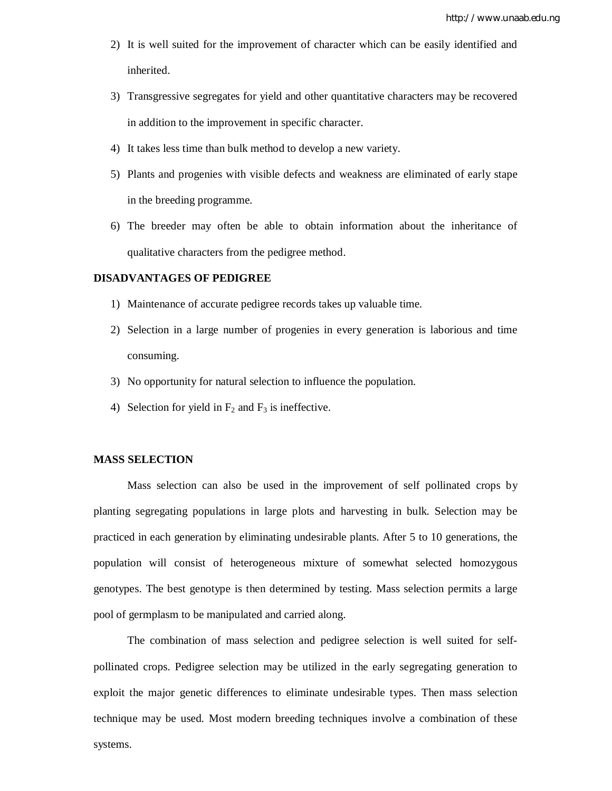- 2) It is well suited for the improvement of character which can be easily identified and inherited.
- 3) Transgressive segregates for yield and other quantitative characters may be recovered in addition to the improvement in specific character.
- 4) It takes less time than bulk method to develop a new variety.
- 5) Plants and progenies with visible defects and weakness are eliminated of early stape in the breeding programme.
- 6) The breeder may often be able to obtain information about the inheritance of qualitative characters from the pedigree method.

### **DISADVANTAGES OF PEDIGREE**

- 1) Maintenance of accurate pedigree records takes up valuable time.
- 2) Selection in a large number of progenies in every generation is laborious and time consuming.
- 3) No opportunity for natural selection to influence the population.
- 4) Selection for yield in  $F_2$  and  $F_3$  is ineffective.

### **MASS SELECTION**

Mass selection can also be used in the improvement of self pollinated crops by planting segregating populations in large plots and harvesting in bulk. Selection may be practiced in each generation by eliminating undesirable plants. After 5 to 10 generations, the population will consist of heterogeneous mixture of somewhat selected homozygous genotypes. The best genotype is then determined by testing. Mass selection permits a large pool of germplasm to be manipulated and carried along.

The combination of mass selection and pedigree selection is well suited for selfpollinated crops. Pedigree selection may be utilized in the early segregating generation to exploit the major genetic differences to eliminate undesirable types. Then mass selection technique may be used. Most modern breeding techniques involve a combination of these systems.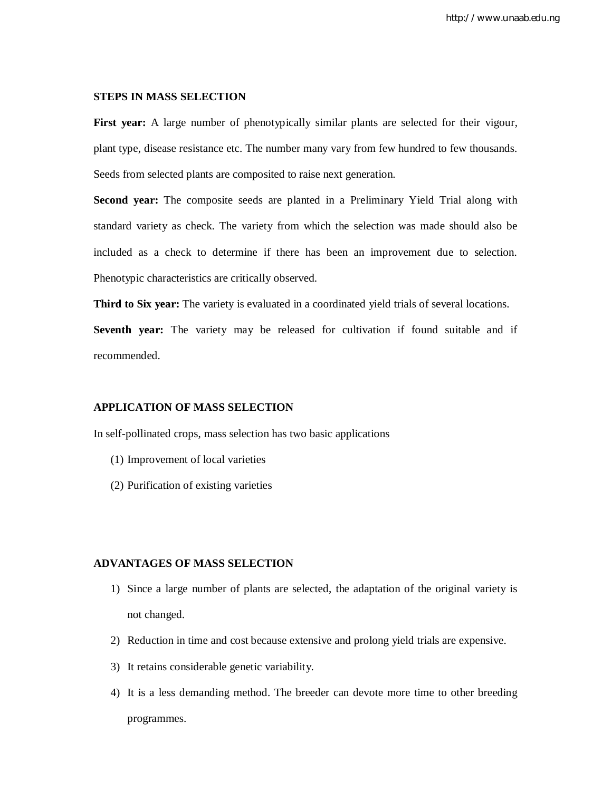# **STEPS IN MASS SELECTION**

**First year:** A large number of phenotypically similar plants are selected for their vigour, plant type, disease resistance etc. The number many vary from few hundred to few thousands. Seeds from selected plants are composited to raise next generation.

**Second year:** The composite seeds are planted in a Preliminary Yield Trial along with standard variety as check. The variety from which the selection was made should also be included as a check to determine if there has been an improvement due to selection. Phenotypic characteristics are critically observed.

**Third to Six year:** The variety is evaluated in a coordinated yield trials of several locations. **Seventh year:** The variety may be released for cultivation if found suitable and if recommended.

# **APPLICATION OF MASS SELECTION**

In self-pollinated crops, mass selection has two basic applications

- (1) Improvement of local varieties
- (2) Purification of existing varieties

# **ADVANTAGES OF MASS SELECTION**

- 1) Since a large number of plants are selected, the adaptation of the original variety is not changed.
- 2) Reduction in time and cost because extensive and prolong yield trials are expensive.
- 3) It retains considerable genetic variability.
- 4) It is a less demanding method. The breeder can devote more time to other breeding programmes.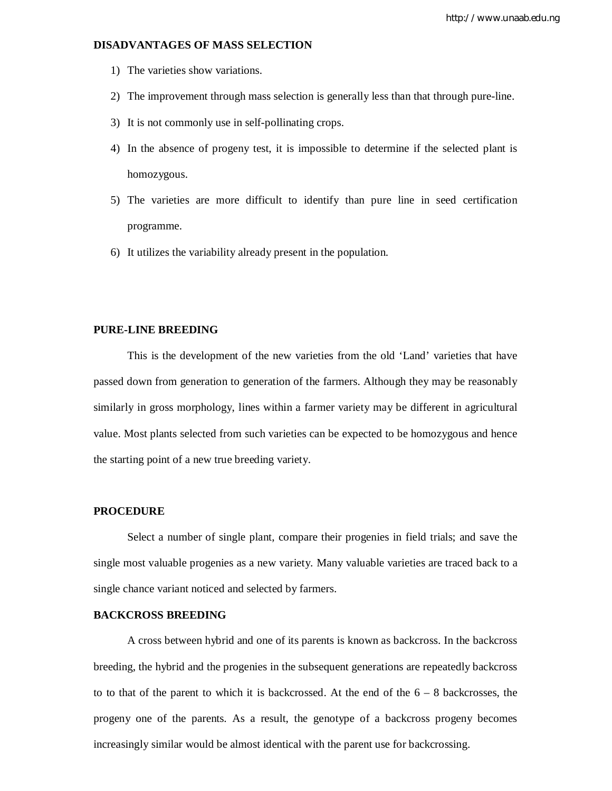# **DISADVANTAGES OF MASS SELECTION**

- 1) The varieties show variations.
- 2) The improvement through mass selection is generally less than that through pure-line.
- 3) It is not commonly use in self-pollinating crops.
- 4) In the absence of progeny test, it is impossible to determine if the selected plant is homozygous.
- 5) The varieties are more difficult to identify than pure line in seed certification programme.
- 6) It utilizes the variability already present in the population.

# **PURE-LINE BREEDING**

This is the development of the new varieties from the old 'Land' varieties that have passed down from generation to generation of the farmers. Although they may be reasonably similarly in gross morphology, lines within a farmer variety may be different in agricultural value. Most plants selected from such varieties can be expected to be homozygous and hence the starting point of a new true breeding variety.

# **PROCEDURE**

Select a number of single plant, compare their progenies in field trials; and save the single most valuable progenies as a new variety. Many valuable varieties are traced back to a single chance variant noticed and selected by farmers.

# **BACKCROSS BREEDING**

A cross between hybrid and one of its parents is known as backcross. In the backcross breeding, the hybrid and the progenies in the subsequent generations are repeatedly backcross to to that of the parent to which it is backcrossed. At the end of the  $6 - 8$  backcrosses, the progeny one of the parents. As a result, the genotype of a backcross progeny becomes increasingly similar would be almost identical with the parent use for backcrossing.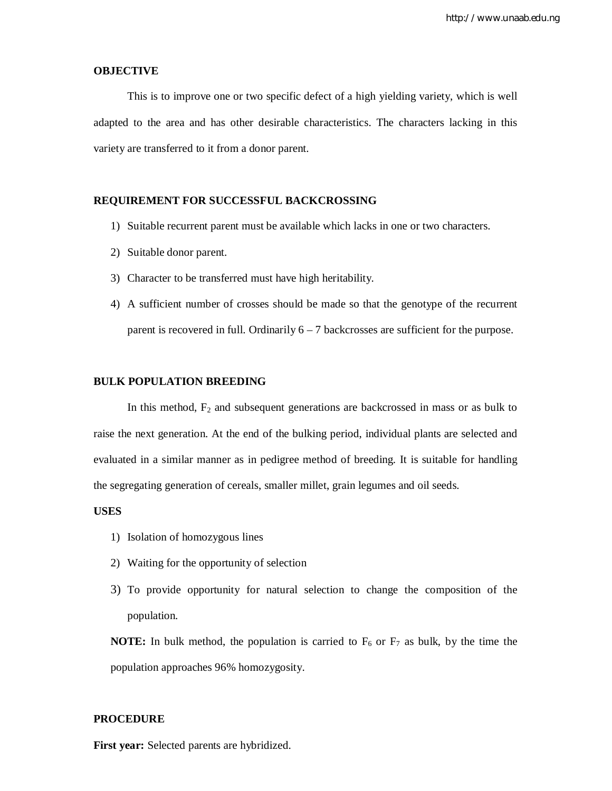# **OBJECTIVE**

This is to improve one or two specific defect of a high yielding variety, which is well adapted to the area and has other desirable characteristics. The characters lacking in this variety are transferred to it from a donor parent.

### **REQUIREMENT FOR SUCCESSFUL BACKCROSSING**

- 1) Suitable recurrent parent must be available which lacks in one or two characters.
- 2) Suitable donor parent.
- 3) Character to be transferred must have high heritability.
- 4) A sufficient number of crosses should be made so that the genotype of the recurrent parent is recovered in full. Ordinarily 6 – 7 backcrosses are sufficient for the purpose.

### **BULK POPULATION BREEDING**

In this method,  $F_2$  and subsequent generations are backcrossed in mass or as bulk to raise the next generation. At the end of the bulking period, individual plants are selected and evaluated in a similar manner as in pedigree method of breeding. It is suitable for handling the segregating generation of cereals, smaller millet, grain legumes and oil seeds.

# **USES**

- 1) Isolation of homozygous lines
- 2) Waiting for the opportunity of selection
- 3) To provide opportunity for natural selection to change the composition of the population.

**NOTE:** In bulk method, the population is carried to  $F_6$  or  $F_7$  as bulk, by the time the population approaches 96% homozygosity.

# **PROCEDURE**

**First year:** Selected parents are hybridized.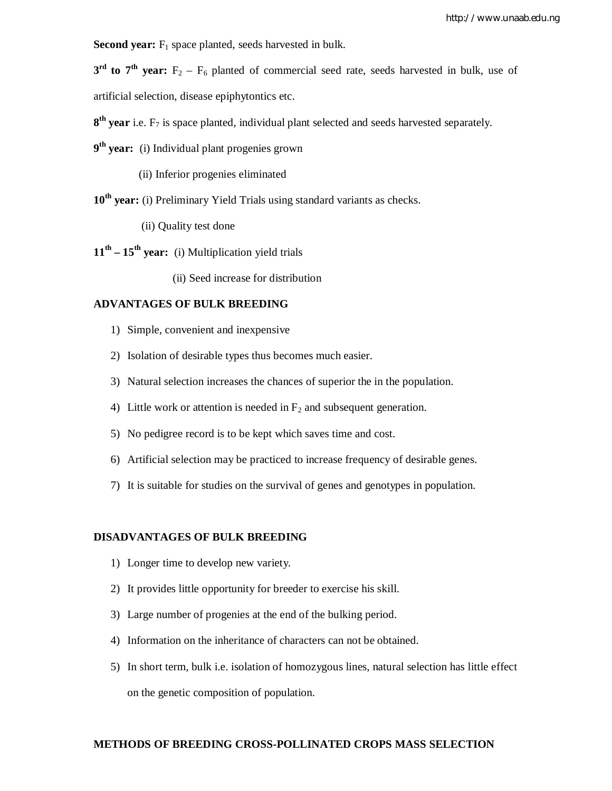**Second year:** F<sub>1</sub> space planted, seeds harvested in bulk.

 $3<sup>rd</sup>$  to 7<sup>th</sup> year:  $F_2 - F_6$  planted of commercial seed rate, seeds harvested in bulk, use of

artificial selection, disease epiphytontics etc.

- **8 th year** i.e. F<sup>7</sup> is space planted, individual plant selected and seeds harvested separately.
- **9 th year:** (i) Individual plant progenies grown
	- (ii) Inferior progenies eliminated
- **10th year:** (i) Preliminary Yield Trials using standard variants as checks.
	- (ii) Quality test done
- **11th – 15th year:** (i) Multiplication yield trials
	- (ii) Seed increase for distribution

# **ADVANTAGES OF BULK BREEDING**

- 1) Simple, convenient and inexpensive
- 2) Isolation of desirable types thus becomes much easier.
- 3) Natural selection increases the chances of superior the in the population.
- 4) Little work or attention is needed in  $F_2$  and subsequent generation.
- 5) No pedigree record is to be kept which saves time and cost.
- 6) Artificial selection may be practiced to increase frequency of desirable genes.
- 7) It is suitable for studies on the survival of genes and genotypes in population.

#### **DISADVANTAGES OF BULK BREEDING**

- 1) Longer time to develop new variety.
- 2) It provides little opportunity for breeder to exercise his skill.
- 3) Large number of progenies at the end of the bulking period.
- 4) Information on the inheritance of characters can not be obtained.
- 5) In short term, bulk i.e. isolation of homozygous lines, natural selection has little effect on the genetic composition of population.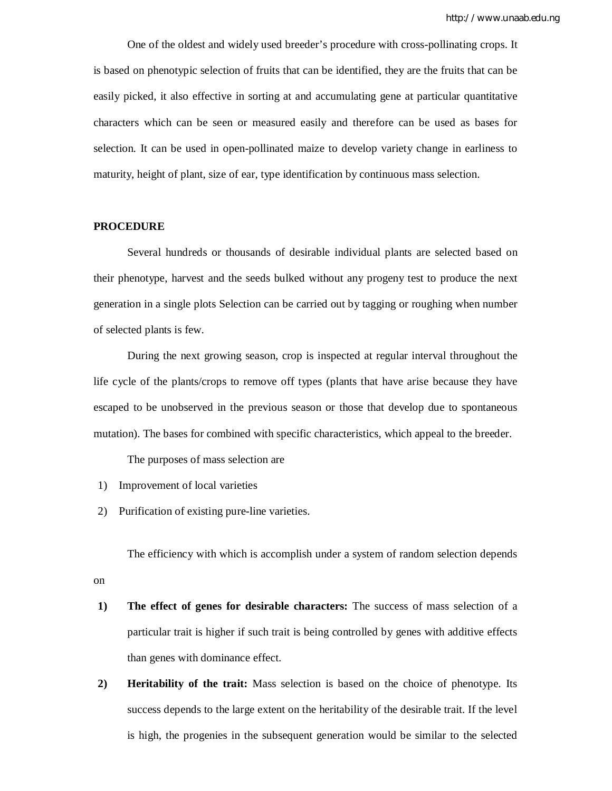One of the oldest and widely used breeder's procedure with cross-pollinating crops. It is based on phenotypic selection of fruits that can be identified, they are the fruits that can be easily picked, it also effective in sorting at and accumulating gene at particular quantitative characters which can be seen or measured easily and therefore can be used as bases for selection. It can be used in open-pollinated maize to develop variety change in earliness to maturity, height of plant, size of ear, type identification by continuous mass selection.

# **PROCEDURE**

Several hundreds or thousands of desirable individual plants are selected based on their phenotype, harvest and the seeds bulked without any progeny test to produce the next generation in a single plots Selection can be carried out by tagging or roughing when number of selected plants is few.

During the next growing season, crop is inspected at regular interval throughout the life cycle of the plants/crops to remove off types (plants that have arise because they have escaped to be unobserved in the previous season or those that develop due to spontaneous mutation). The bases for combined with specific characteristics, which appeal to the breeder.

The purposes of mass selection are

- 1) Improvement of local varieties
- 2) Purification of existing pure-line varieties.

The efficiency with which is accomplish under a system of random selection depends

on

- **1) The effect of genes for desirable characters:** The success of mass selection of a particular trait is higher if such trait is being controlled by genes with additive effects than genes with dominance effect.
- **2) Heritability of the trait:** Mass selection is based on the choice of phenotype. Its success depends to the large extent on the heritability of the desirable trait. If the level is high, the progenies in the subsequent generation would be similar to the selected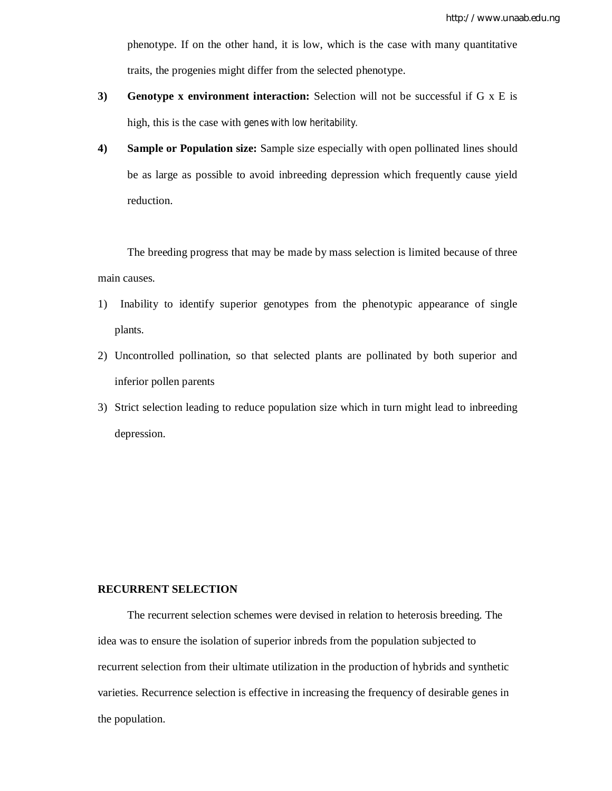phenotype. If on the other hand, it is low, which is the case with many quantitative traits, the progenies might differ from the selected phenotype.

- **3) Genotype x environment interaction:** Selection will not be successful if G x E is high, this is the case with genes with low heritability.
- **4) Sample or Population size:** Sample size especially with open pollinated lines should be as large as possible to avoid inbreeding depression which frequently cause yield reduction.

The breeding progress that may be made by mass selection is limited because of three main causes.

- 1) Inability to identify superior genotypes from the phenotypic appearance of single plants.
- 2) Uncontrolled pollination, so that selected plants are pollinated by both superior and inferior pollen parents
- 3) Strict selection leading to reduce population size which in turn might lead to inbreeding depression.

# **RECURRENT SELECTION**

The recurrent selection schemes were devised in relation to heterosis breeding. The idea was to ensure the isolation of superior inbreds from the population subjected to recurrent selection from their ultimate utilization in the production of hybrids and synthetic varieties. Recurrence selection is effective in increasing the frequency of desirable genes in the population.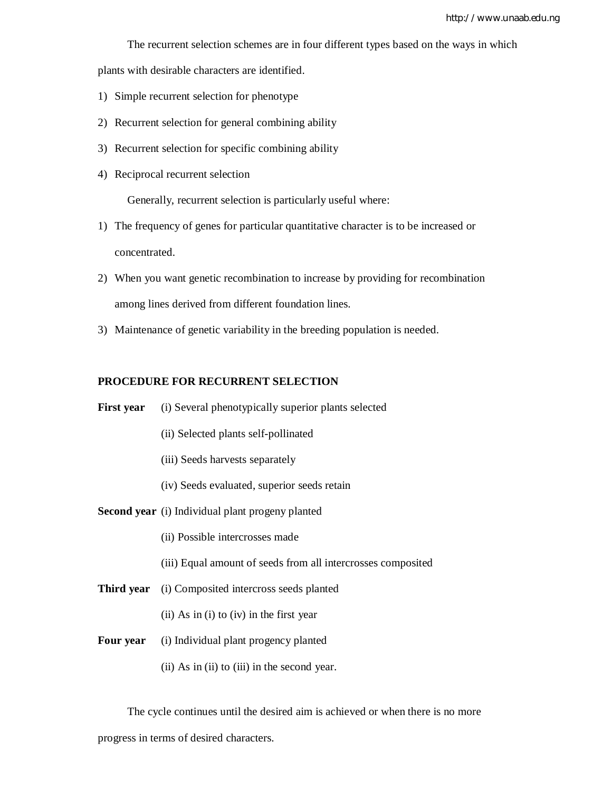The recurrent selection schemes are in four different types based on the ways in which

plants with desirable characters are identified.

- 1) Simple recurrent selection for phenotype
- 2) Recurrent selection for general combining ability
- 3) Recurrent selection for specific combining ability
- 4) Reciprocal recurrent selection

Generally, recurrent selection is particularly useful where:

- 1) The frequency of genes for particular quantitative character is to be increased or concentrated.
- 2) When you want genetic recombination to increase by providing for recombination among lines derived from different foundation lines.
- 3) Maintenance of genetic variability in the breeding population is needed.

### **PROCEDURE FOR RECURRENT SELECTION**

- **First year** (i) Several phenotypically superior plants selected
	- (ii) Selected plants self-pollinated
	- (iii) Seeds harvests separately
	- (iv) Seeds evaluated, superior seeds retain
- **Second year** (i) Individual plant progeny planted
	- (ii) Possible intercrosses made
	- (iii) Equal amount of seeds from all intercrosses composited
- **Third year** (i) Composited intercross seeds planted
	- (ii) As in (i) to (iv) in the first year
- **Four year** (i) Individual plant progency planted
	- (ii) As in (ii) to (iii) in the second year.

The cycle continues until the desired aim is achieved or when there is no more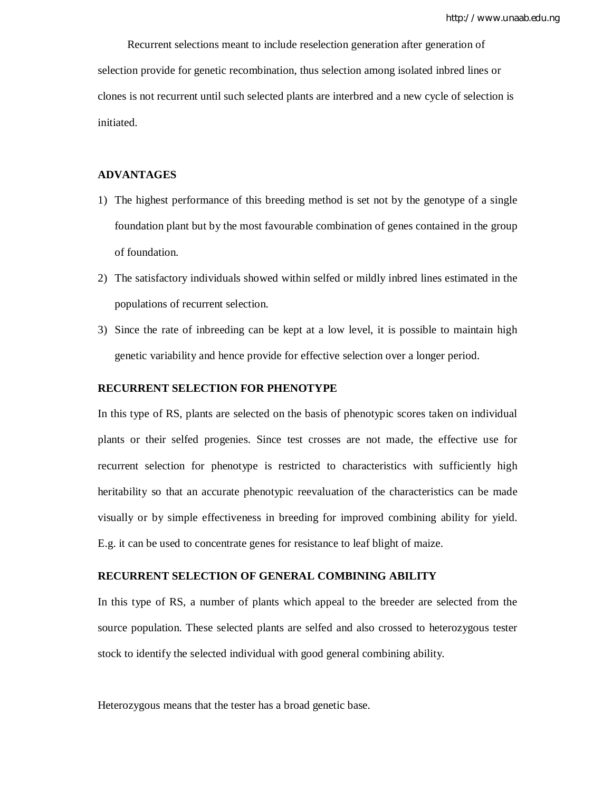Recurrent selections meant to include reselection generation after generation of selection provide for genetic recombination, thus selection among isolated inbred lines or clones is not recurrent until such selected plants are interbred and a new cycle of selection is initiated.

### **ADVANTAGES**

- 1) The highest performance of this breeding method is set not by the genotype of a single foundation plant but by the most favourable combination of genes contained in the group of foundation.
- 2) The satisfactory individuals showed within selfed or mildly inbred lines estimated in the populations of recurrent selection.
- 3) Since the rate of inbreeding can be kept at a low level, it is possible to maintain high genetic variability and hence provide for effective selection over a longer period.

#### **RECURRENT SELECTION FOR PHENOTYPE**

In this type of RS, plants are selected on the basis of phenotypic scores taken on individual plants or their selfed progenies. Since test crosses are not made, the effective use for recurrent selection for phenotype is restricted to characteristics with sufficiently high heritability so that an accurate phenotypic reevaluation of the characteristics can be made visually or by simple effectiveness in breeding for improved combining ability for yield. E.g. it can be used to concentrate genes for resistance to leaf blight of maize.

## **RECURRENT SELECTION OF GENERAL COMBINING ABILITY**

In this type of RS, a number of plants which appeal to the breeder are selected from the source population. These selected plants are selfed and also crossed to heterozygous tester stock to identify the selected individual with good general combining ability.

Heterozygous means that the tester has a broad genetic base.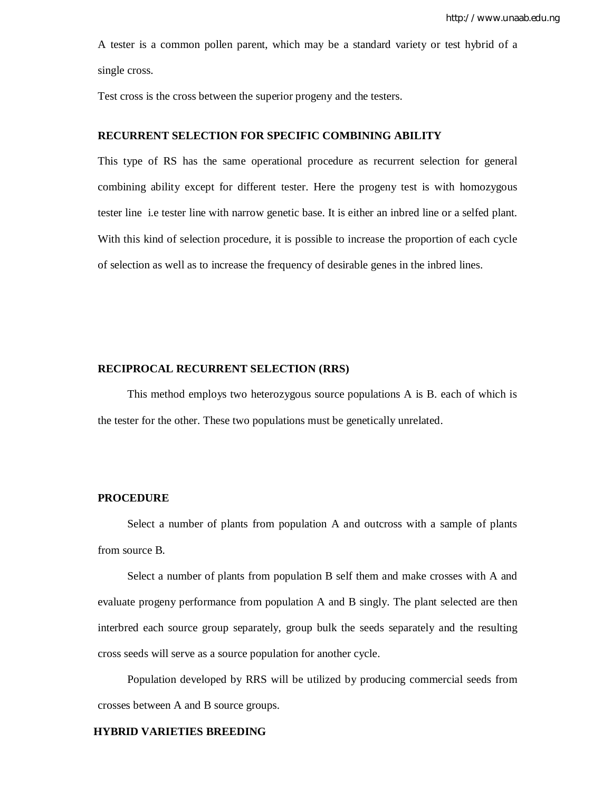A tester is a common pollen parent, which may be a standard variety or test hybrid of a single cross.

Test cross is the cross between the superior progeny and the testers.

# **RECURRENT SELECTION FOR SPECIFIC COMBINING ABILITY**

This type of RS has the same operational procedure as recurrent selection for general combining ability except for different tester. Here the progeny test is with homozygous tester line i.e tester line with narrow genetic base. It is either an inbred line or a selfed plant. With this kind of selection procedure, it is possible to increase the proportion of each cycle of selection as well as to increase the frequency of desirable genes in the inbred lines.

# **RECIPROCAL RECURRENT SELECTION (RRS)**

This method employs two heterozygous source populations A is B. each of which is the tester for the other. These two populations must be genetically unrelated.

#### **PROCEDURE**

Select a number of plants from population A and outcross with a sample of plants from source B.

Select a number of plants from population B self them and make crosses with A and evaluate progeny performance from population A and B singly. The plant selected are then interbred each source group separately, group bulk the seeds separately and the resulting cross seeds will serve as a source population for another cycle.

Population developed by RRS will be utilized by producing commercial seeds from crosses between A and B source groups.

# **HYBRID VARIETIES BREEDING**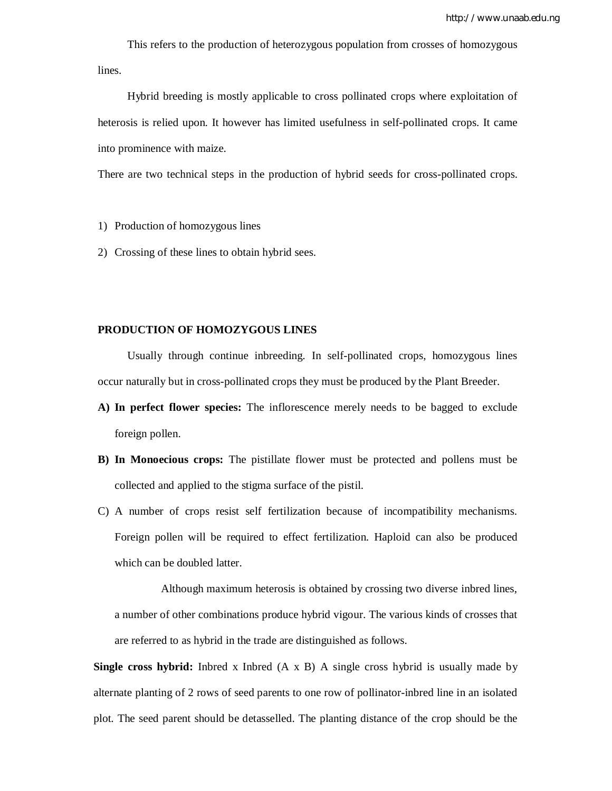This refers to the production of heterozygous population from crosses of homozygous lines.

Hybrid breeding is mostly applicable to cross pollinated crops where exploitation of heterosis is relied upon. It however has limited usefulness in self-pollinated crops. It came into prominence with maize.

There are two technical steps in the production of hybrid seeds for cross-pollinated crops.

- 1) Production of homozygous lines
- 2) Crossing of these lines to obtain hybrid sees.

### **PRODUCTION OF HOMOZYGOUS LINES**

Usually through continue inbreeding. In self-pollinated crops, homozygous lines occur naturally but in cross-pollinated crops they must be produced by the Plant Breeder.

- **A) In perfect flower species:** The inflorescence merely needs to be bagged to exclude foreign pollen.
- **B) In Monoecious crops:** The pistillate flower must be protected and pollens must be collected and applied to the stigma surface of the pistil.
- C) A number of crops resist self fertilization because of incompatibility mechanisms. Foreign pollen will be required to effect fertilization. Haploid can also be produced which can be doubled latter.

Although maximum heterosis is obtained by crossing two diverse inbred lines, a number of other combinations produce hybrid vigour. The various kinds of crosses that are referred to as hybrid in the trade are distinguished as follows.

**Single cross hybrid:** Inbred x Inbred (A x B) A single cross hybrid is usually made by alternate planting of 2 rows of seed parents to one row of pollinator-inbred line in an isolated plot. The seed parent should be detasselled. The planting distance of the crop should be the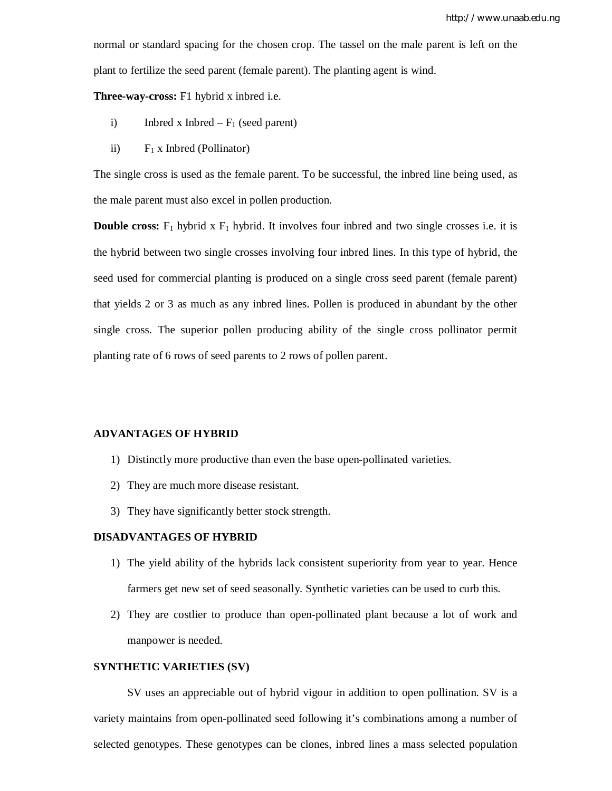normal or standard spacing for the chosen crop. The tassel on the male parent is left on the plant to fertilize the seed parent (female parent). The planting agent is wind.

**Three-way-cross:** F1 hybrid x inbred i.e.

- i) Inbred x Inbred  $F_1$  (seed parent)
- ii)  $F_1$  x Inbred (Pollinator)

The single cross is used as the female parent. To be successful, the inbred line being used, as the male parent must also excel in pollen production.

**Double cross:**  $F_1$  hybrid x  $F_1$  hybrid. It involves four inbred and two single crosses i.e. it is the hybrid between two single crosses involving four inbred lines. In this type of hybrid, the seed used for commercial planting is produced on a single cross seed parent (female parent) that yields 2 or 3 as much as any inbred lines. Pollen is produced in abundant by the other single cross. The superior pollen producing ability of the single cross pollinator permit planting rate of 6 rows of seed parents to 2 rows of pollen parent.

# **ADVANTAGES OF HYBRID**

- 1) Distinctly more productive than even the base open-pollinated varieties.
- 2) They are much more disease resistant.
- 3) They have significantly better stock strength.

#### **DISADVANTAGES OF HYBRID**

- 1) The yield ability of the hybrids lack consistent superiority from year to year. Hence farmers get new set of seed seasonally. Synthetic varieties can be used to curb this.
- 2) They are costlier to produce than open-pollinated plant because a lot of work and manpower is needed.

#### **SYNTHETIC VARIETIES (SV)**

SV uses an appreciable out of hybrid vigour in addition to open pollination. SV is a variety maintains from open-pollinated seed following it's combinations among a number of selected genotypes. These genotypes can be clones, inbred lines a mass selected population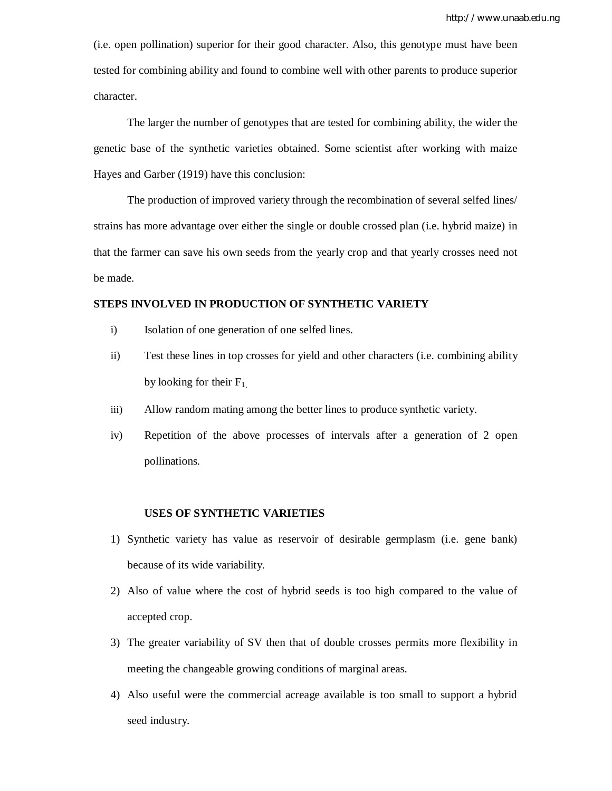(i.e. open pollination) superior for their good character. Also, this genotype must have been tested for combining ability and found to combine well with other parents to produce superior character.

The larger the number of genotypes that are tested for combining ability, the wider the genetic base of the synthetic varieties obtained. Some scientist after working with maize Hayes and Garber (1919) have this conclusion:

The production of improved variety through the recombination of several selfed lines/ strains has more advantage over either the single or double crossed plan (i.e. hybrid maize) in that the farmer can save his own seeds from the yearly crop and that yearly crosses need not be made.

# **STEPS INVOLVED IN PRODUCTION OF SYNTHETIC VARIETY**

- i) Isolation of one generation of one selfed lines.
- ii) Test these lines in top crosses for yield and other characters (i.e. combining ability by looking for their  $F_1$ .
- iii) Allow random mating among the better lines to produce synthetic variety.
- iv) Repetition of the above processes of intervals after a generation of 2 open pollinations.

#### **USES OF SYNTHETIC VARIETIES**

- 1) Synthetic variety has value as reservoir of desirable germplasm (i.e. gene bank) because of its wide variability.
- 2) Also of value where the cost of hybrid seeds is too high compared to the value of accepted crop.
- 3) The greater variability of SV then that of double crosses permits more flexibility in meeting the changeable growing conditions of marginal areas.
- 4) Also useful were the commercial acreage available is too small to support a hybrid seed industry.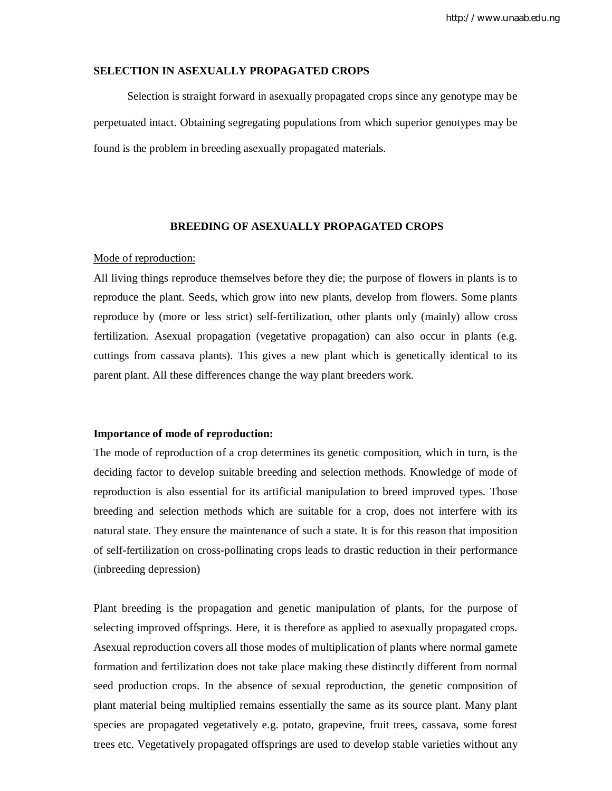# **SELECTION IN ASEXUALLY PROPAGATED CROPS**

Selection is straight forward in asexually propagated crops since any genotype may be perpetuated intact. Obtaining segregating populations from which superior genotypes may be found is the problem in breeding asexually propagated materials.

# **BREEDING OF ASEXUALLY PROPAGATED CROPS**

#### Mode of reproduction:

All living things reproduce themselves before they die; the purpose of flowers in plants is to reproduce the plant. Seeds, which grow into new plants, develop from flowers. Some plants reproduce by (more or less strict) self-fertilization, other plants only (mainly) allow cross fertilization. Asexual propagation (vegetative propagation) can also occur in plants (e.g. cuttings from cassava plants). This gives a new plant which is genetically identical to its parent plant. All these differences change the way plant breeders work.

# **Importance of mode of reproduction:**

The mode of reproduction of a crop determines its genetic composition, which in turn, is the deciding factor to develop suitable breeding and selection methods. Knowledge of mode of reproduction is also essential for its artificial manipulation to breed improved types. Those breeding and selection methods which are suitable for a crop, does not interfere with its natural state. They ensure the maintenance of such a state. It is for this reason that imposition of self-fertilization on cross-pollinating crops leads to drastic reduction in their performance (inbreeding depression)

Plant breeding is the propagation and genetic manipulation of plants, for the purpose of selecting improved offsprings. Here, it is therefore as applied to asexually propagated crops. Asexual reproduction covers all those modes of multiplication of plants where normal gamete formation and fertilization does not take place making these distinctly different from normal seed production crops. In the absence of sexual reproduction, the genetic composition of plant material being multiplied remains essentially the same as its source plant. Many plant species are propagated vegetatively e.g. potato, grapevine, fruit trees, cassava, some forest trees etc. Vegetatively propagated offsprings are used to develop stable varieties without any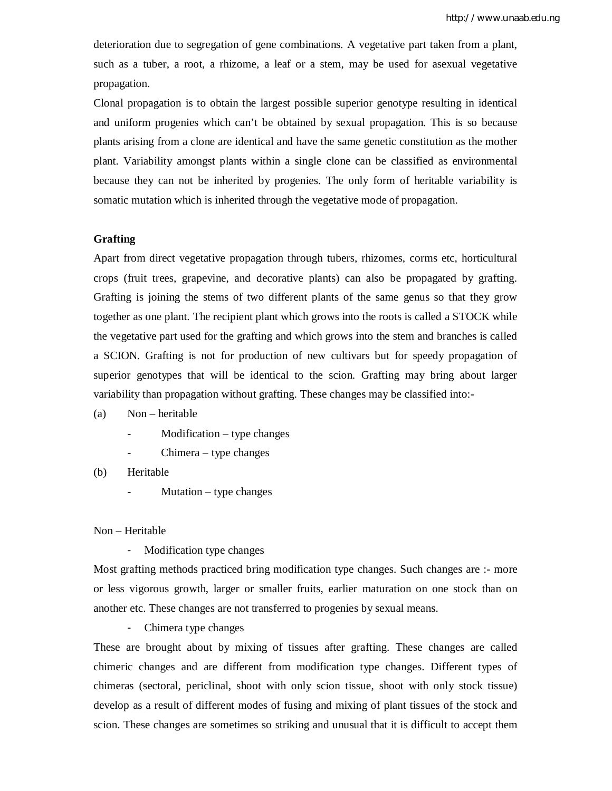deterioration due to segregation of gene combinations. A vegetative part taken from a plant, such as a tuber, a root, a rhizome, a leaf or a stem, may be used for asexual vegetative propagation.

Clonal propagation is to obtain the largest possible superior genotype resulting in identical and uniform progenies which can't be obtained by sexual propagation. This is so because plants arising from a clone are identical and have the same genetic constitution as the mother plant. Variability amongst plants within a single clone can be classified as environmental because they can not be inherited by progenies. The only form of heritable variability is somatic mutation which is inherited through the vegetative mode of propagation.

### **Grafting**

Apart from direct vegetative propagation through tubers, rhizomes, corms etc, horticultural crops (fruit trees, grapevine, and decorative plants) can also be propagated by grafting. Grafting is joining the stems of two different plants of the same genus so that they grow together as one plant. The recipient plant which grows into the roots is called a STOCK while the vegetative part used for the grafting and which grows into the stem and branches is called a SCION. Grafting is not for production of new cultivars but for speedy propagation of superior genotypes that will be identical to the scion. Grafting may bring about larger variability than propagation without grafting. These changes may be classified into:-

#### (a) Non – heritable

- Modification type changes
- $Chimera type changes$

#### (b) Heritable

- Mutation – type changes

Non – Heritable

- Modification type changes

Most grafting methods practiced bring modification type changes. Such changes are :- more or less vigorous growth, larger or smaller fruits, earlier maturation on one stock than on another etc. These changes are not transferred to progenies by sexual means.

- Chimera type changes

These are brought about by mixing of tissues after grafting. These changes are called chimeric changes and are different from modification type changes. Different types of chimeras (sectoral, periclinal, shoot with only scion tissue, shoot with only stock tissue) develop as a result of different modes of fusing and mixing of plant tissues of the stock and scion. These changes are sometimes so striking and unusual that it is difficult to accept them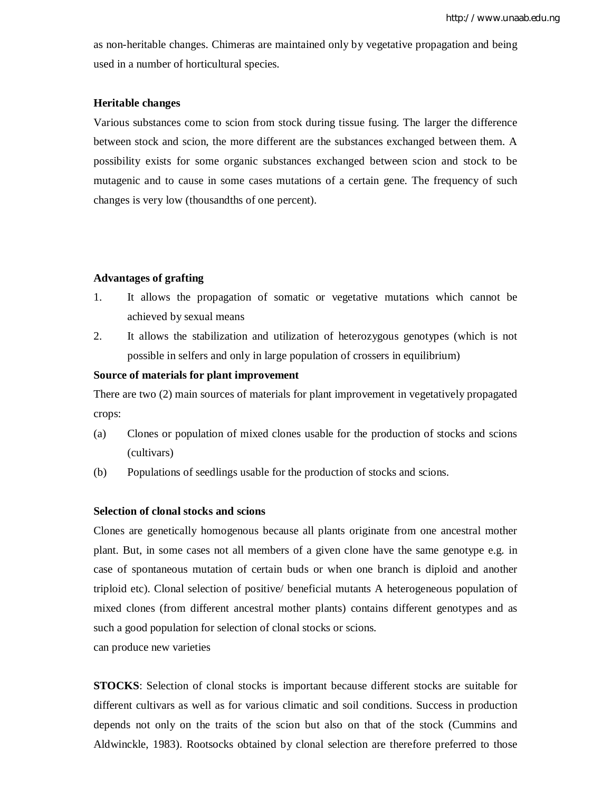as non-heritable changes. Chimeras are maintained only by vegetative propagation and being used in a number of horticultural species.

### **Heritable changes**

Various substances come to scion from stock during tissue fusing. The larger the difference between stock and scion, the more different are the substances exchanged between them. A possibility exists for some organic substances exchanged between scion and stock to be mutagenic and to cause in some cases mutations of a certain gene. The frequency of such changes is very low (thousandths of one percent).

### **Advantages of grafting**

- 1. It allows the propagation of somatic or vegetative mutations which cannot be achieved by sexual means
- 2. It allows the stabilization and utilization of heterozygous genotypes (which is not possible in selfers and only in large population of crossers in equilibrium)

### **Source of materials for plant improvement**

There are two (2) main sources of materials for plant improvement in vegetatively propagated crops:

- (a) Clones or population of mixed clones usable for the production of stocks and scions (cultivars)
- (b) Populations of seedlings usable for the production of stocks and scions.

### **Selection of clonal stocks and scions**

Clones are genetically homogenous because all plants originate from one ancestral mother plant. But, in some cases not all members of a given clone have the same genotype e.g. in case of spontaneous mutation of certain buds or when one branch is diploid and another triploid etc). Clonal selection of positive/ beneficial mutants A heterogeneous population of mixed clones (from different ancestral mother plants) contains different genotypes and as such a good population for selection of clonal stocks or scions.

can produce new varieties

**STOCKS**: Selection of clonal stocks is important because different stocks are suitable for different cultivars as well as for various climatic and soil conditions. Success in production depends not only on the traits of the scion but also on that of the stock (Cummins and Aldwinckle, 1983). Rootsocks obtained by clonal selection are therefore preferred to those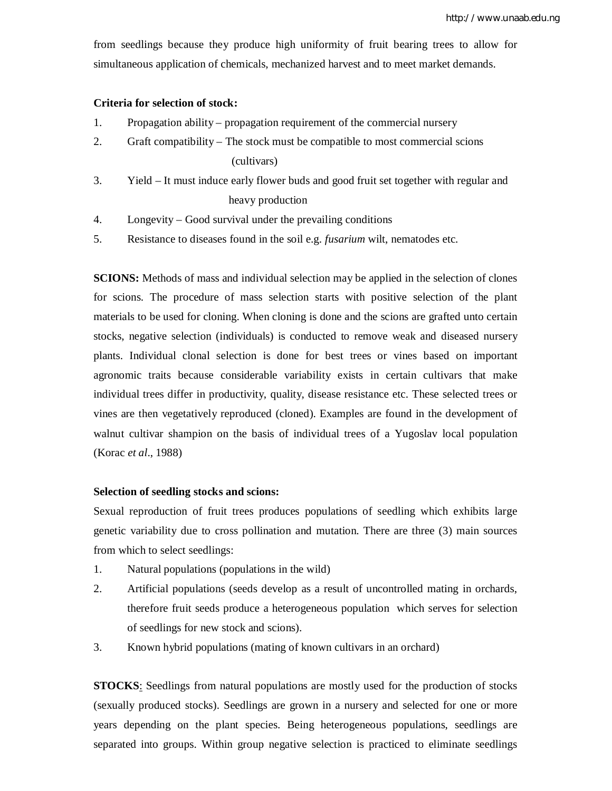from seedlings because they produce high uniformity of fruit bearing trees to allow for simultaneous application of chemicals, mechanized harvest and to meet market demands.

#### **Criteria for selection of stock:**

- 1. Propagation ability propagation requirement of the commercial nursery
- 2. Graft compatibility The stock must be compatible to most commercial scions (cultivars)
- 3. Yield It must induce early flower buds and good fruit set together with regular and heavy production
- 4. Longevity Good survival under the prevailing conditions
- 5. Resistance to diseases found in the soil e.g. *fusarium* wilt, nematodes etc.

**SCIONS:** Methods of mass and individual selection may be applied in the selection of clones for scions. The procedure of mass selection starts with positive selection of the plant materials to be used for cloning. When cloning is done and the scions are grafted unto certain stocks, negative selection (individuals) is conducted to remove weak and diseased nursery plants. Individual clonal selection is done for best trees or vines based on important agronomic traits because considerable variability exists in certain cultivars that make individual trees differ in productivity, quality, disease resistance etc. These selected trees or vines are then vegetatively reproduced (cloned). Examples are found in the development of walnut cultivar shampion on the basis of individual trees of a Yugoslav local population (Korac *et al*., 1988)

#### **Selection of seedling stocks and scions:**

Sexual reproduction of fruit trees produces populations of seedling which exhibits large genetic variability due to cross pollination and mutation. There are three (3) main sources from which to select seedlings:

- 1. Natural populations (populations in the wild)
- 2. Artificial populations (seeds develop as a result of uncontrolled mating in orchards, therefore fruit seeds produce a heterogeneous population which serves for selection of seedlings for new stock and scions).
- 3. Known hybrid populations (mating of known cultivars in an orchard)

**STOCKS**: Seedlings from natural populations are mostly used for the production of stocks (sexually produced stocks). Seedlings are grown in a nursery and selected for one or more years depending on the plant species. Being heterogeneous populations, seedlings are separated into groups. Within group negative selection is practiced to eliminate seedlings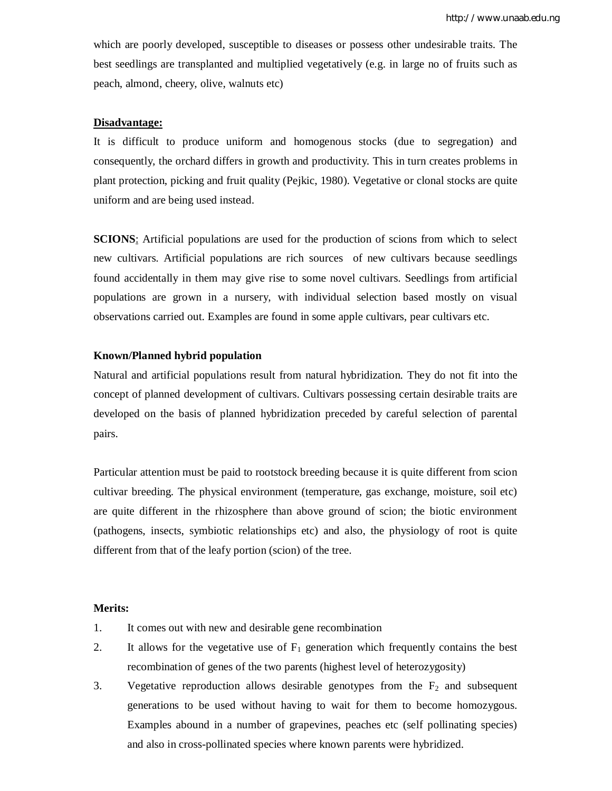which are poorly developed, susceptible to diseases or possess other undesirable traits. The best seedlings are transplanted and multiplied vegetatively (e.g. in large no of fruits such as peach, almond, cheery, olive, walnuts etc)

#### **Disadvantage:**

It is difficult to produce uniform and homogenous stocks (due to segregation) and consequently, the orchard differs in growth and productivity. This in turn creates problems in plant protection, picking and fruit quality (Pejkic, 1980). Vegetative or clonal stocks are quite uniform and are being used instead.

**SCIONS:** Artificial populations are used for the production of scions from which to select new cultivars. Artificial populations are rich sources of new cultivars because seedlings found accidentally in them may give rise to some novel cultivars. Seedlings from artificial populations are grown in a nursery, with individual selection based mostly on visual observations carried out. Examples are found in some apple cultivars, pear cultivars etc.

### **Known/Planned hybrid population**

Natural and artificial populations result from natural hybridization. They do not fit into the concept of planned development of cultivars. Cultivars possessing certain desirable traits are developed on the basis of planned hybridization preceded by careful selection of parental pairs.

Particular attention must be paid to rootstock breeding because it is quite different from scion cultivar breeding. The physical environment (temperature, gas exchange, moisture, soil etc) are quite different in the rhizosphere than above ground of scion; the biotic environment (pathogens, insects, symbiotic relationships etc) and also, the physiology of root is quite different from that of the leafy portion (scion) of the tree.

### **Merits:**

- 1. It comes out with new and desirable gene recombination
- 2. It allows for the vegetative use of  $F_1$  generation which frequently contains the best recombination of genes of the two parents (highest level of heterozygosity)
- 3. Vegetative reproduction allows desirable genotypes from the  $F_2$  and subsequent generations to be used without having to wait for them to become homozygous. Examples abound in a number of grapevines, peaches etc (self pollinating species) and also in cross-pollinated species where known parents were hybridized.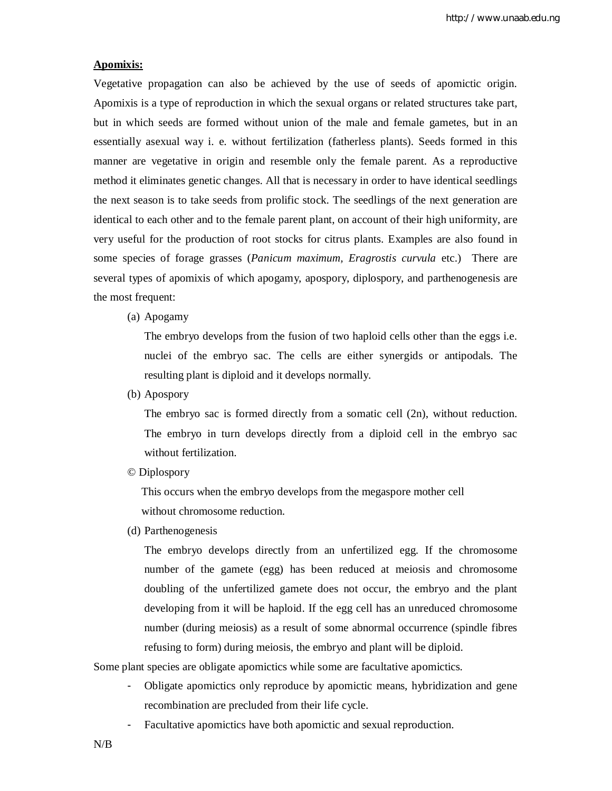### **Apomixis:**

Vegetative propagation can also be achieved by the use of seeds of apomictic origin. Apomixis is a type of reproduction in which the sexual organs or related structures take part, but in which seeds are formed without union of the male and female gametes, but in an essentially asexual way i. e. without fertilization (fatherless plants). Seeds formed in this manner are vegetative in origin and resemble only the female parent. As a reproductive method it eliminates genetic changes. All that is necessary in order to have identical seedlings the next season is to take seeds from prolific stock. The seedlings of the next generation are identical to each other and to the female parent plant, on account of their high uniformity, are very useful for the production of root stocks for citrus plants. Examples are also found in some species of forage grasses (*Panicum maximum, Eragrostis curvula* etc.) There are several types of apomixis of which apogamy, apospory, diplospory, and parthenogenesis are the most frequent:

(a) Apogamy

The embryo develops from the fusion of two haploid cells other than the eggs i.e. nuclei of the embryo sac. The cells are either synergids or antipodals. The resulting plant is diploid and it develops normally.

(b) Apospory

The embryo sac is formed directly from a somatic cell (2n), without reduction. The embryo in turn develops directly from a diploid cell in the embryo sac without fertilization.

© Diplospory

 This occurs when the embryo develops from the megaspore mother cell without chromosome reduction.

(d) Parthenogenesis

The embryo develops directly from an unfertilized egg. If the chromosome number of the gamete (egg) has been reduced at meiosis and chromosome doubling of the unfertilized gamete does not occur, the embryo and the plant developing from it will be haploid. If the egg cell has an unreduced chromosome number (during meiosis) as a result of some abnormal occurrence (spindle fibres refusing to form) during meiosis, the embryo and plant will be diploid.

Some plant species are obligate apomictics while some are facultative apomictics.

- Obligate apomictics only reproduce by apomictic means, hybridization and gene recombination are precluded from their life cycle.
- Facultative apomictics have both apomictic and sexual reproduction.
- N/B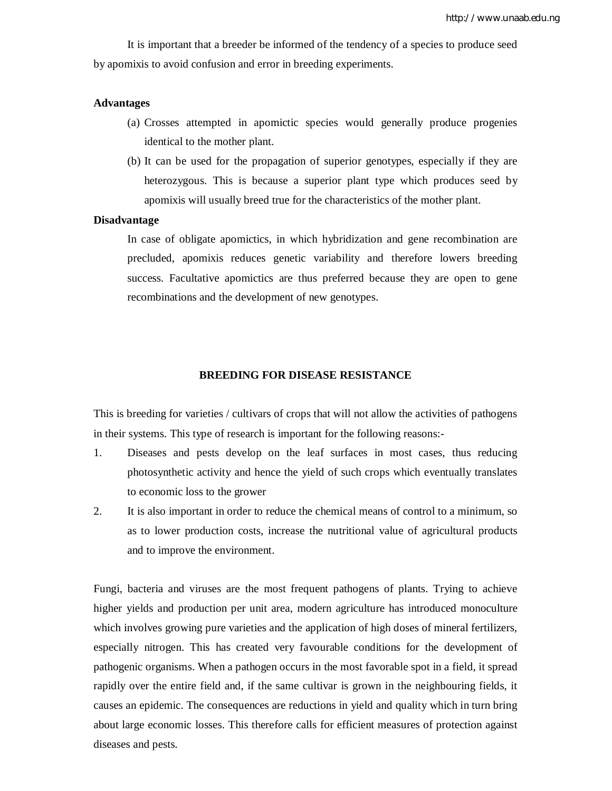It is important that a breeder be informed of the tendency of a species to produce seed by apomixis to avoid confusion and error in breeding experiments.

### **Advantages**

- (a) Crosses attempted in apomictic species would generally produce progenies identical to the mother plant.
- (b) It can be used for the propagation of superior genotypes, especially if they are heterozygous. This is because a superior plant type which produces seed by apomixis will usually breed true for the characteristics of the mother plant.

# **Disadvantage**

In case of obligate apomictics, in which hybridization and gene recombination are precluded, apomixis reduces genetic variability and therefore lowers breeding success. Facultative apomictics are thus preferred because they are open to gene recombinations and the development of new genotypes.

# **BREEDING FOR DISEASE RESISTANCE**

This is breeding for varieties / cultivars of crops that will not allow the activities of pathogens in their systems. This type of research is important for the following reasons:-

- 1. Diseases and pests develop on the leaf surfaces in most cases, thus reducing photosynthetic activity and hence the yield of such crops which eventually translates to economic loss to the grower
- 2. It is also important in order to reduce the chemical means of control to a minimum, so as to lower production costs, increase the nutritional value of agricultural products and to improve the environment.

Fungi, bacteria and viruses are the most frequent pathogens of plants. Trying to achieve higher yields and production per unit area, modern agriculture has introduced monoculture which involves growing pure varieties and the application of high doses of mineral fertilizers, especially nitrogen. This has created very favourable conditions for the development of pathogenic organisms. When a pathogen occurs in the most favorable spot in a field, it spread rapidly over the entire field and, if the same cultivar is grown in the neighbouring fields, it causes an epidemic. The consequences are reductions in yield and quality which in turn bring about large economic losses. This therefore calls for efficient measures of protection against diseases and pests.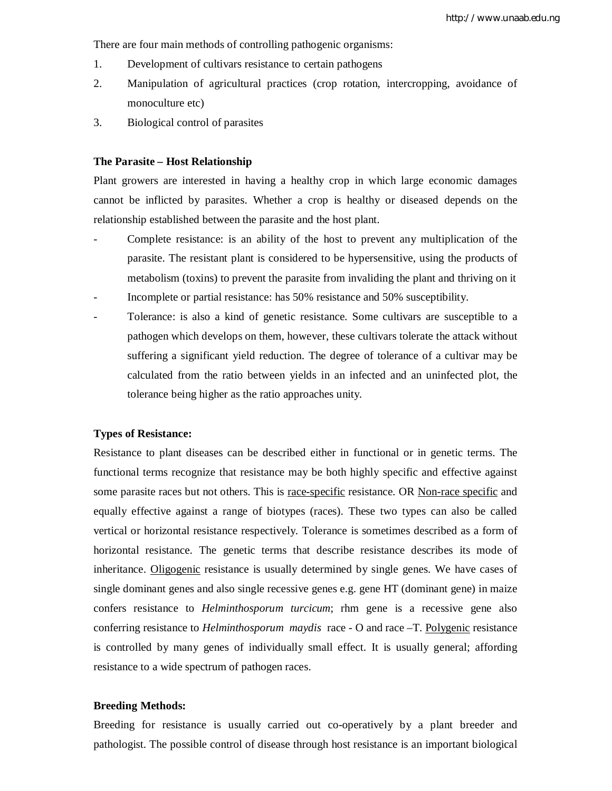There are four main methods of controlling pathogenic organisms:

- 1. Development of cultivars resistance to certain pathogens
- 2. Manipulation of agricultural practices (crop rotation, intercropping, avoidance of monoculture etc)
- 3. Biological control of parasites

# **The Parasite – Host Relationship**

Plant growers are interested in having a healthy crop in which large economic damages cannot be inflicted by parasites. Whether a crop is healthy or diseased depends on the relationship established between the parasite and the host plant.

- Complete resistance: is an ability of the host to prevent any multiplication of the parasite. The resistant plant is considered to be hypersensitive, using the products of metabolism (toxins) to prevent the parasite from invaliding the plant and thriving on it
- Incomplete or partial resistance: has 50% resistance and 50% susceptibility.
- Tolerance: is also a kind of genetic resistance. Some cultivars are susceptible to a pathogen which develops on them, however, these cultivars tolerate the attack without suffering a significant yield reduction. The degree of tolerance of a cultivar may be calculated from the ratio between yields in an infected and an uninfected plot, the tolerance being higher as the ratio approaches unity.

### **Types of Resistance:**

Resistance to plant diseases can be described either in functional or in genetic terms. The functional terms recognize that resistance may be both highly specific and effective against some parasite races but not others. This is <u>race-specific</u> resistance. OR Non-race specific and equally effective against a range of biotypes (races). These two types can also be called vertical or horizontal resistance respectively. Tolerance is sometimes described as a form of horizontal resistance. The genetic terms that describe resistance describes its mode of inheritance. Oligogenic resistance is usually determined by single genes. We have cases of single dominant genes and also single recessive genes e.g. gene HT (dominant gene) in maize confers resistance to *Helminthosporum turcicum*; rhm gene is a recessive gene also conferring resistance to *Helminthosporum maydis* race - O and race –T. Polygenic resistance is controlled by many genes of individually small effect. It is usually general; affording resistance to a wide spectrum of pathogen races.

### **Breeding Methods:**

Breeding for resistance is usually carried out co-operatively by a plant breeder and pathologist. The possible control of disease through host resistance is an important biological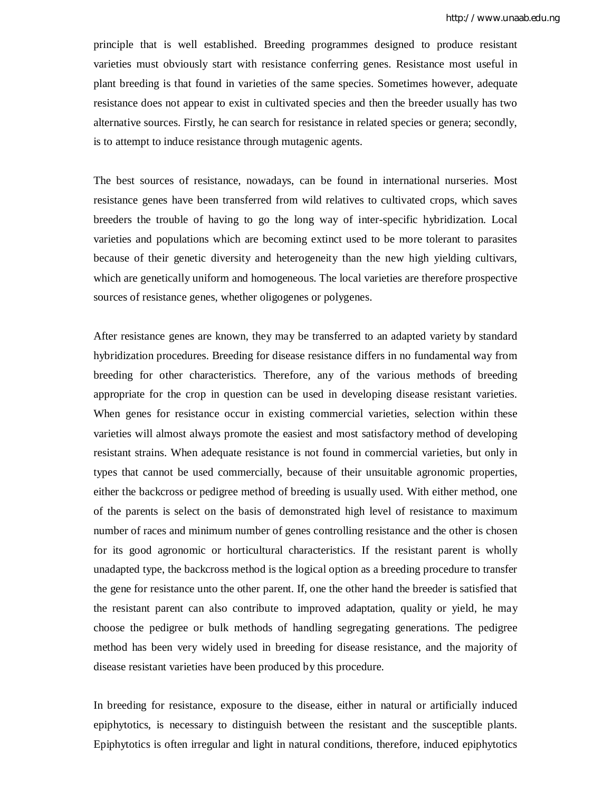principle that is well established. Breeding programmes designed to produce resistant varieties must obviously start with resistance conferring genes. Resistance most useful in plant breeding is that found in varieties of the same species. Sometimes however, adequate resistance does not appear to exist in cultivated species and then the breeder usually has two alternative sources. Firstly, he can search for resistance in related species or genera; secondly, is to attempt to induce resistance through mutagenic agents.

The best sources of resistance, nowadays, can be found in international nurseries. Most resistance genes have been transferred from wild relatives to cultivated crops, which saves breeders the trouble of having to go the long way of inter-specific hybridization. Local varieties and populations which are becoming extinct used to be more tolerant to parasites because of their genetic diversity and heterogeneity than the new high yielding cultivars, which are genetically uniform and homogeneous. The local varieties are therefore prospective sources of resistance genes, whether oligogenes or polygenes.

After resistance genes are known, they may be transferred to an adapted variety by standard hybridization procedures. Breeding for disease resistance differs in no fundamental way from breeding for other characteristics. Therefore, any of the various methods of breeding appropriate for the crop in question can be used in developing disease resistant varieties. When genes for resistance occur in existing commercial varieties, selection within these varieties will almost always promote the easiest and most satisfactory method of developing resistant strains. When adequate resistance is not found in commercial varieties, but only in types that cannot be used commercially, because of their unsuitable agronomic properties, either the backcross or pedigree method of breeding is usually used. With either method, one of the parents is select on the basis of demonstrated high level of resistance to maximum number of races and minimum number of genes controlling resistance and the other is chosen for its good agronomic or horticultural characteristics. If the resistant parent is wholly unadapted type, the backcross method is the logical option as a breeding procedure to transfer the gene for resistance unto the other parent. If, one the other hand the breeder is satisfied that the resistant parent can also contribute to improved adaptation, quality or yield, he may choose the pedigree or bulk methods of handling segregating generations. The pedigree method has been very widely used in breeding for disease resistance, and the majority of disease resistant varieties have been produced by this procedure.

In breeding for resistance, exposure to the disease, either in natural or artificially induced epiphytotics, is necessary to distinguish between the resistant and the susceptible plants. Epiphytotics is often irregular and light in natural conditions, therefore, induced epiphytotics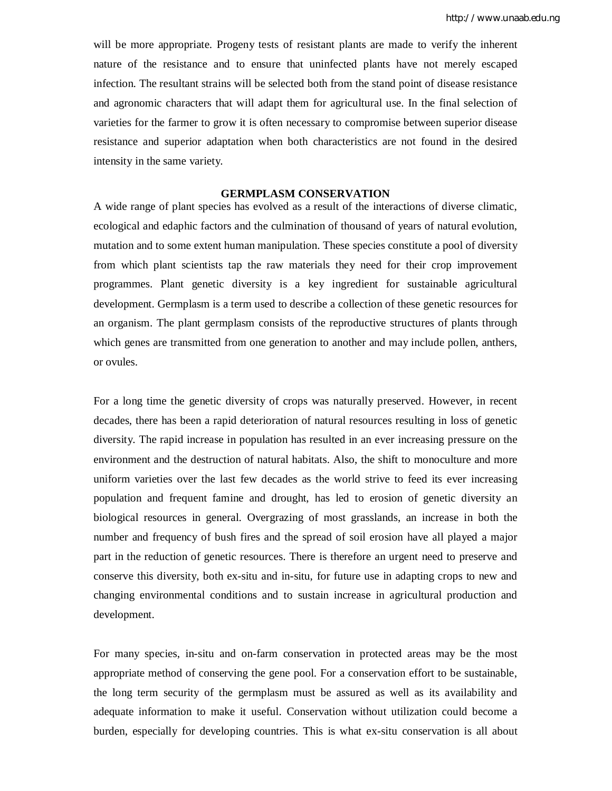will be more appropriate. Progeny tests of resistant plants are made to verify the inherent nature of the resistance and to ensure that uninfected plants have not merely escaped infection. The resultant strains will be selected both from the stand point of disease resistance and agronomic characters that will adapt them for agricultural use. In the final selection of varieties for the farmer to grow it is often necessary to compromise between superior disease resistance and superior adaptation when both characteristics are not found in the desired intensity in the same variety.

### **GERMPLASM CONSERVATION**

A wide range of plant species has evolved as a result of the interactions of diverse climatic, ecological and edaphic factors and the culmination of thousand of years of natural evolution, mutation and to some extent human manipulation. These species constitute a pool of diversity from which plant scientists tap the raw materials they need for their crop improvement programmes. Plant genetic diversity is a key ingredient for sustainable agricultural development. Germplasm is a term used to describe a collection of these genetic resources for an organism. The plant germplasm consists of the reproductive structures of plants through which genes are transmitted from one generation to another and may include pollen, anthers, or ovules.

For a long time the genetic diversity of crops was naturally preserved. However, in recent decades, there has been a rapid deterioration of natural resources resulting in loss of genetic diversity. The rapid increase in population has resulted in an ever increasing pressure on the environment and the destruction of natural habitats. Also, the shift to monoculture and more uniform varieties over the last few decades as the world strive to feed its ever increasing population and frequent famine and drought, has led to erosion of genetic diversity an biological resources in general. Overgrazing of most grasslands, an increase in both the number and frequency of bush fires and the spread of soil erosion have all played a major part in the reduction of genetic resources. There is therefore an urgent need to preserve and conserve this diversity, both ex-situ and in-situ, for future use in adapting crops to new and changing environmental conditions and to sustain increase in agricultural production and development.

For many species, in-situ and on-farm conservation in protected areas may be the most appropriate method of conserving the gene pool. For a conservation effort to be sustainable, the long term security of the germplasm must be assured as well as its availability and adequate information to make it useful. Conservation without utilization could become a burden, especially for developing countries. This is what ex-situ conservation is all about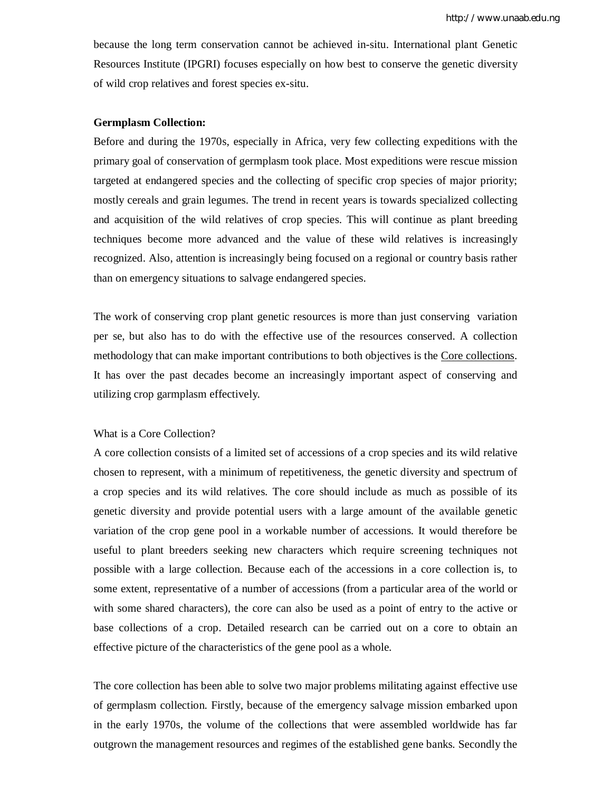because the long term conservation cannot be achieved in-situ. International plant Genetic Resources Institute (IPGRI) focuses especially on how best to conserve the genetic diversity of wild crop relatives and forest species ex-situ.

#### **Germplasm Collection:**

Before and during the 1970s, especially in Africa, very few collecting expeditions with the primary goal of conservation of germplasm took place. Most expeditions were rescue mission targeted at endangered species and the collecting of specific crop species of major priority; mostly cereals and grain legumes. The trend in recent years is towards specialized collecting and acquisition of the wild relatives of crop species. This will continue as plant breeding techniques become more advanced and the value of these wild relatives is increasingly recognized. Also, attention is increasingly being focused on a regional or country basis rather than on emergency situations to salvage endangered species.

The work of conserving crop plant genetic resources is more than just conserving variation per se, but also has to do with the effective use of the resources conserved. A collection methodology that can make important contributions to both objectives is the Core collections. It has over the past decades become an increasingly important aspect of conserving and utilizing crop garmplasm effectively.

### What is a Core Collection?

A core collection consists of a limited set of accessions of a crop species and its wild relative chosen to represent, with a minimum of repetitiveness, the genetic diversity and spectrum of a crop species and its wild relatives. The core should include as much as possible of its genetic diversity and provide potential users with a large amount of the available genetic variation of the crop gene pool in a workable number of accessions. It would therefore be useful to plant breeders seeking new characters which require screening techniques not possible with a large collection. Because each of the accessions in a core collection is, to some extent, representative of a number of accessions (from a particular area of the world or with some shared characters), the core can also be used as a point of entry to the active or base collections of a crop. Detailed research can be carried out on a core to obtain an effective picture of the characteristics of the gene pool as a whole.

The core collection has been able to solve two major problems militating against effective use of germplasm collection. Firstly, because of the emergency salvage mission embarked upon in the early 1970s, the volume of the collections that were assembled worldwide has far outgrown the management resources and regimes of the established gene banks. Secondly the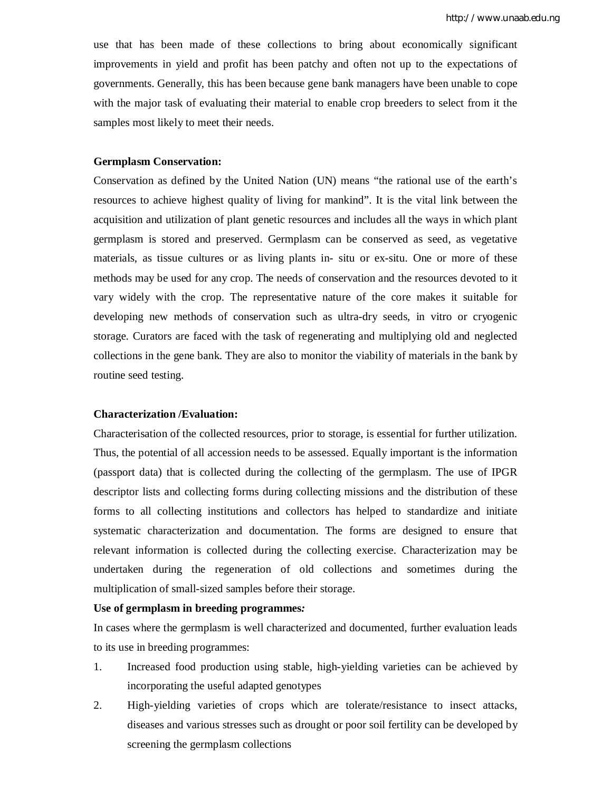use that has been made of these collections to bring about economically significant improvements in yield and profit has been patchy and often not up to the expectations of governments. Generally, this has been because gene bank managers have been unable to cope with the major task of evaluating their material to enable crop breeders to select from it the samples most likely to meet their needs.

#### **Germplasm Conservation:**

Conservation as defined by the United Nation (UN) means "the rational use of the earth's resources to achieve highest quality of living for mankind". It is the vital link between the acquisition and utilization of plant genetic resources and includes all the ways in which plant germplasm is stored and preserved. Germplasm can be conserved as seed, as vegetative materials, as tissue cultures or as living plants in- situ or ex-situ. One or more of these methods may be used for any crop. The needs of conservation and the resources devoted to it vary widely with the crop. The representative nature of the core makes it suitable for developing new methods of conservation such as ultra-dry seeds, in vitro or cryogenic storage. Curators are faced with the task of regenerating and multiplying old and neglected collections in the gene bank. They are also to monitor the viability of materials in the bank by routine seed testing.

#### **Characterization /Evaluation:**

Characterisation of the collected resources, prior to storage, is essential for further utilization. Thus, the potential of all accession needs to be assessed. Equally important is the information (passport data) that is collected during the collecting of the germplasm. The use of IPGR descriptor lists and collecting forms during collecting missions and the distribution of these forms to all collecting institutions and collectors has helped to standardize and initiate systematic characterization and documentation. The forms are designed to ensure that relevant information is collected during the collecting exercise. Characterization may be undertaken during the regeneration of old collections and sometimes during the multiplication of small-sized samples before their storage.

### **Use of germplasm in breeding programmes***:*

In cases where the germplasm is well characterized and documented, further evaluation leads to its use in breeding programmes:

- 1. Increased food production using stable, high-yielding varieties can be achieved by incorporating the useful adapted genotypes
- 2. High-yielding varieties of crops which are tolerate/resistance to insect attacks, diseases and various stresses such as drought or poor soil fertility can be developed by screening the germplasm collections